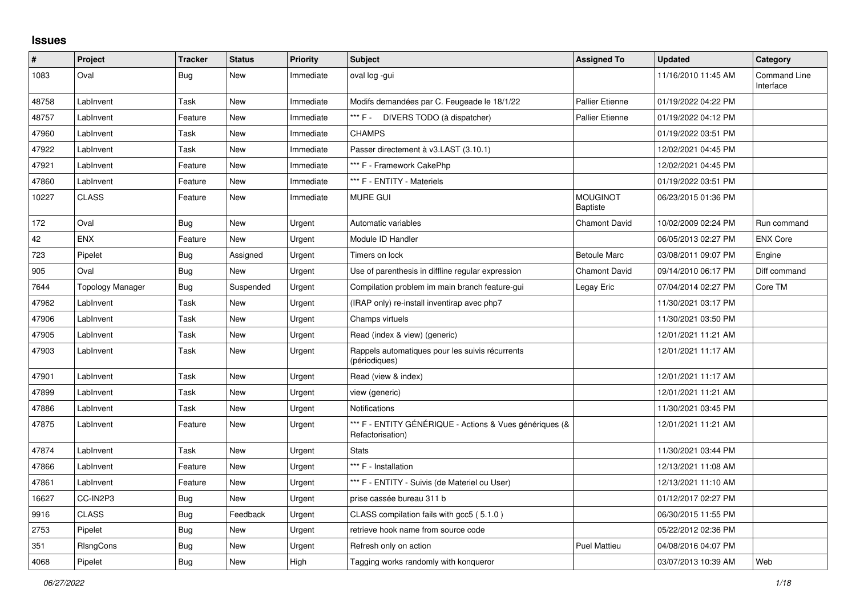## **Issues**

| #     | Project          | <b>Tracker</b> | <b>Status</b> | <b>Priority</b> | <b>Subject</b>                                                              | <b>Assigned To</b>                 | <b>Updated</b>      | Category                         |
|-------|------------------|----------------|---------------|-----------------|-----------------------------------------------------------------------------|------------------------------------|---------------------|----------------------------------|
| 1083  | Oval             | Bug            | New           | Immediate       | oval log -gui                                                               |                                    | 11/16/2010 11:45 AM | <b>Command Line</b><br>Interface |
| 48758 | LabInvent        | Task           | <b>New</b>    | Immediate       | Modifs demandées par C. Feugeade le 18/1/22                                 | <b>Pallier Etienne</b>             | 01/19/2022 04:22 PM |                                  |
| 48757 | LabInvent        | Feature        | <b>New</b>    | Immediate       | *** F -<br>DIVERS TODO (à dispatcher)                                       | <b>Pallier Etienne</b>             | 01/19/2022 04:12 PM |                                  |
| 47960 | LabInvent        | Task           | <b>New</b>    | Immediate       | <b>CHAMPS</b>                                                               |                                    | 01/19/2022 03:51 PM |                                  |
| 47922 | LabInvent        | Task           | New           | Immediate       | Passer directement à v3.LAST (3.10.1)                                       |                                    | 12/02/2021 04:45 PM |                                  |
| 47921 | LabInvent        | Feature        | New           | Immediate       | *** F - Framework CakePhp                                                   |                                    | 12/02/2021 04:45 PM |                                  |
| 47860 | LabInvent        | Feature        | New           | Immediate       | *** F - ENTITY - Materiels                                                  |                                    | 01/19/2022 03:51 PM |                                  |
| 10227 | <b>CLASS</b>     | Feature        | New           | Immediate       | <b>MURE GUI</b>                                                             | <b>MOUGINOT</b><br><b>Baptiste</b> | 06/23/2015 01:36 PM |                                  |
| 172   | Oval             | <b>Bug</b>     | <b>New</b>    | Urgent          | Automatic variables                                                         | <b>Chamont David</b>               | 10/02/2009 02:24 PM | Run command                      |
| 42    | <b>ENX</b>       | Feature        | New           | Urgent          | Module ID Handler                                                           |                                    | 06/05/2013 02:27 PM | <b>ENX Core</b>                  |
| 723   | Pipelet          | Bug            | Assigned      | Urgent          | Timers on lock                                                              | <b>Betoule Marc</b>                | 03/08/2011 09:07 PM | Engine                           |
| 905   | Oval             | Bug            | <b>New</b>    | Urgent          | Use of parenthesis in diffline regular expression                           | <b>Chamont David</b>               | 09/14/2010 06:17 PM | Diff command                     |
| 7644  | Topology Manager | Bug            | Suspended     | Urgent          | Compilation problem im main branch feature-gui                              | Legay Eric                         | 07/04/2014 02:27 PM | Core TM                          |
| 47962 | LabInvent        | Task           | <b>New</b>    | Urgent          | (IRAP only) re-install inventirap avec php7                                 |                                    | 11/30/2021 03:17 PM |                                  |
| 47906 | LabInvent        | Task           | New           | Urgent          | Champs virtuels                                                             |                                    | 11/30/2021 03:50 PM |                                  |
| 47905 | LabInvent        | Task           | <b>New</b>    | Urgent          | Read (index & view) (generic)                                               |                                    | 12/01/2021 11:21 AM |                                  |
| 47903 | LabInvent        | Task           | <b>New</b>    | Urgent          | Rappels automatiques pour les suivis récurrents<br>(périodiques)            |                                    | 12/01/2021 11:17 AM |                                  |
| 47901 | LabInvent        | Task           | <b>New</b>    | Urgent          | Read (view & index)                                                         |                                    | 12/01/2021 11:17 AM |                                  |
| 47899 | LabInvent        | Task           | <b>New</b>    | Urgent          | view (generic)                                                              |                                    | 12/01/2021 11:21 AM |                                  |
| 47886 | LabInvent        | Task           | New           | Urgent          | <b>Notifications</b>                                                        |                                    | 11/30/2021 03:45 PM |                                  |
| 47875 | LabInvent        | Feature        | New           | Urgent          | *** F - ENTITY GÉNÉRIQUE - Actions & Vues génériques (&<br>Refactorisation) |                                    | 12/01/2021 11:21 AM |                                  |
| 47874 | LabInvent        | Task           | <b>New</b>    | Urgent          | <b>Stats</b>                                                                |                                    | 11/30/2021 03:44 PM |                                  |
| 47866 | LabInvent        | Feature        | New           | Urgent          | *** F - Installation                                                        |                                    | 12/13/2021 11:08 AM |                                  |
| 47861 | LabInvent        | Feature        | New           | Urgent          | *** F - ENTITY - Suivis (de Materiel ou User)                               |                                    | 12/13/2021 11:10 AM |                                  |
| 16627 | CC-IN2P3         | Bug            | New           | Urgent          | prise cassée bureau 311 b                                                   |                                    | 01/12/2017 02:27 PM |                                  |
| 9916  | <b>CLASS</b>     | <b>Bug</b>     | Feedback      | Urgent          | CLASS compilation fails with gcc5 (5.1.0)                                   |                                    | 06/30/2015 11:55 PM |                                  |
| 2753  | Pipelet          | Bug            | New           | Urgent          | retrieve hook name from source code                                         |                                    | 05/22/2012 02:36 PM |                                  |
| 351   | RIsngCons        | Bug            | New           | Urgent          | Refresh only on action                                                      | <b>Puel Mattieu</b>                | 04/08/2016 04:07 PM |                                  |
| 4068  | Pipelet          | <b>Bug</b>     | New           | High            | Tagging works randomly with konqueror                                       |                                    | 03/07/2013 10:39 AM | Web                              |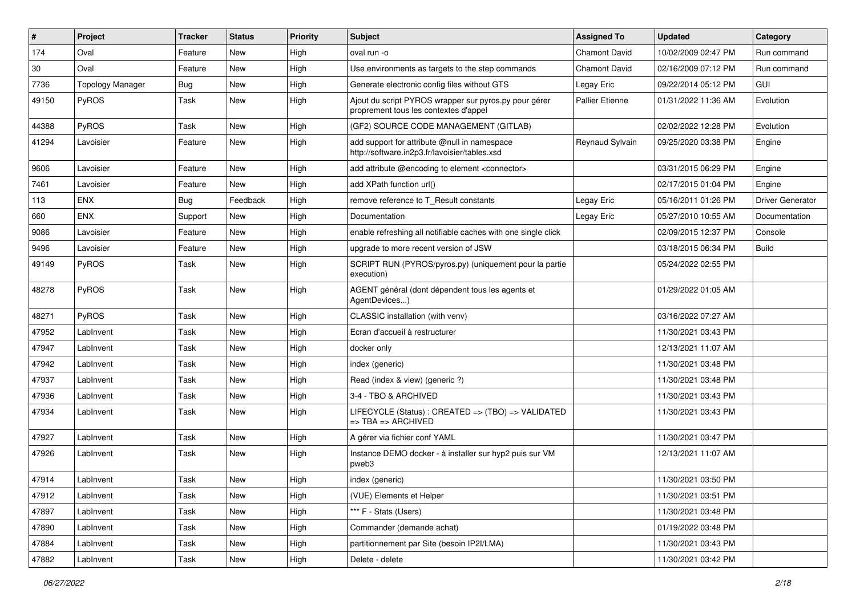| $\sharp$ | Project                 | <b>Tracker</b> | <b>Status</b> | <b>Priority</b> | <b>Subject</b>                                                                                 | <b>Assigned To</b>     | <b>Updated</b>      | Category                |
|----------|-------------------------|----------------|---------------|-----------------|------------------------------------------------------------------------------------------------|------------------------|---------------------|-------------------------|
| 174      | Oval                    | Feature        | <b>New</b>    | High            | oval run -o                                                                                    | <b>Chamont David</b>   | 10/02/2009 02:47 PM | Run command             |
| 30       | Oval                    | Feature        | <b>New</b>    | High            | Use environments as targets to the step commands                                               | <b>Chamont David</b>   | 02/16/2009 07:12 PM | Run command             |
| 7736     | <b>Topology Manager</b> | <b>Bug</b>     | New           | High            | Generate electronic config files without GTS                                                   | Legay Eric             | 09/22/2014 05:12 PM | GUI                     |
| 49150    | PyROS                   | Task           | <b>New</b>    | High            | Ajout du script PYROS wrapper sur pyros.py pour gérer<br>proprement tous les contextes d'appel | <b>Pallier Etienne</b> | 01/31/2022 11:36 AM | Evolution               |
| 44388    | PyROS                   | Task           | <b>New</b>    | High            | (GF2) SOURCE CODE MANAGEMENT (GITLAB)                                                          |                        | 02/02/2022 12:28 PM | Evolution               |
| 41294    | Lavoisier               | Feature        | New           | High            | add support for attribute @null in namespace<br>http://software.in2p3.fr/lavoisier/tables.xsd  | Reynaud Sylvain        | 09/25/2020 03:38 PM | Engine                  |
| 9606     | Lavoisier               | Feature        | <b>New</b>    | High            | add attribute @encoding to element <connector></connector>                                     |                        | 03/31/2015 06:29 PM | Engine                  |
| 7461     | Lavoisier               | Feature        | New           | High            | add XPath function url()                                                                       |                        | 02/17/2015 01:04 PM | Engine                  |
| 113      | <b>ENX</b>              | <b>Bug</b>     | Feedback      | High            | remove reference to T Result constants                                                         | Legay Eric             | 05/16/2011 01:26 PM | <b>Driver Generator</b> |
| 660      | <b>ENX</b>              | Support        | <b>New</b>    | High            | Documentation                                                                                  | Legay Eric             | 05/27/2010 10:55 AM | Documentation           |
| 9086     | Lavoisier               | Feature        | <b>New</b>    | High            | enable refreshing all notifiable caches with one single click                                  |                        | 02/09/2015 12:37 PM | Console                 |
| 9496     | Lavoisier               | Feature        | New           | High            | upgrade to more recent version of JSW                                                          |                        | 03/18/2015 06:34 PM | <b>Build</b>            |
| 49149    | PyROS                   | Task           | New           | High            | SCRIPT RUN (PYROS/pyros.py) (uniquement pour la partie<br>execution)                           |                        | 05/24/2022 02:55 PM |                         |
| 48278    | PyROS                   | Task           | New           | High            | AGENT général (dont dépendent tous les agents et<br>AgentDevices)                              |                        | 01/29/2022 01:05 AM |                         |
| 48271    | PyROS                   | Task           | New           | High            | CLASSIC installation (with venv)                                                               |                        | 03/16/2022 07:27 AM |                         |
| 47952    | LabInvent               | Task           | <b>New</b>    | High            | Ecran d'accueil à restructurer                                                                 |                        | 11/30/2021 03:43 PM |                         |
| 47947    | LabInvent               | Task           | New           | High            | docker only                                                                                    |                        | 12/13/2021 11:07 AM |                         |
| 47942    | LabInvent               | Task           | New           | High            | index (generic)                                                                                |                        | 11/30/2021 03:48 PM |                         |
| 47937    | LabInvent               | Task           | <b>New</b>    | High            | Read (index & view) (generic ?)                                                                |                        | 11/30/2021 03:48 PM |                         |
| 47936    | LabInvent               | Task           | <b>New</b>    | High            | 3-4 - TBO & ARCHIVED                                                                           |                        | 11/30/2021 03:43 PM |                         |
| 47934    | LabInvent               | Task           | New           | High            | LIFECYCLE (Status): CREATED => (TBO) => VALIDATED<br>$\Rightarrow$ TBA $\Rightarrow$ ARCHIVED  |                        | 11/30/2021 03:43 PM |                         |
| 47927    | LabInvent               | Task           | <b>New</b>    | High            | A gérer via fichier conf YAML                                                                  |                        | 11/30/2021 03:47 PM |                         |
| 47926    | LabInvent               | Task           | <b>New</b>    | High            | Instance DEMO docker - à installer sur hyp2 puis sur VM<br>pweb3                               |                        | 12/13/2021 11:07 AM |                         |
| 47914    | LabInvent               | Task           | <b>New</b>    | High            | index (generic)                                                                                |                        | 11/30/2021 03:50 PM |                         |
| 47912    | LabInvent               | Task           | New           | High            | (VUE) Elements et Helper                                                                       |                        | 11/30/2021 03:51 PM |                         |
| 47897    | LabInvent               | Task           | New           | High            | *** F - Stats (Users)                                                                          |                        | 11/30/2021 03:48 PM |                         |
| 47890    | LabInvent               | Task           | New           | High            | Commander (demande achat)                                                                      |                        | 01/19/2022 03:48 PM |                         |
| 47884    | LabInvent               | Task           | New           | High            | partitionnement par Site (besoin IP2I/LMA)                                                     |                        | 11/30/2021 03:43 PM |                         |
| 47882    | LabInvent               | Task           | New           | High            | Delete - delete                                                                                |                        | 11/30/2021 03:42 PM |                         |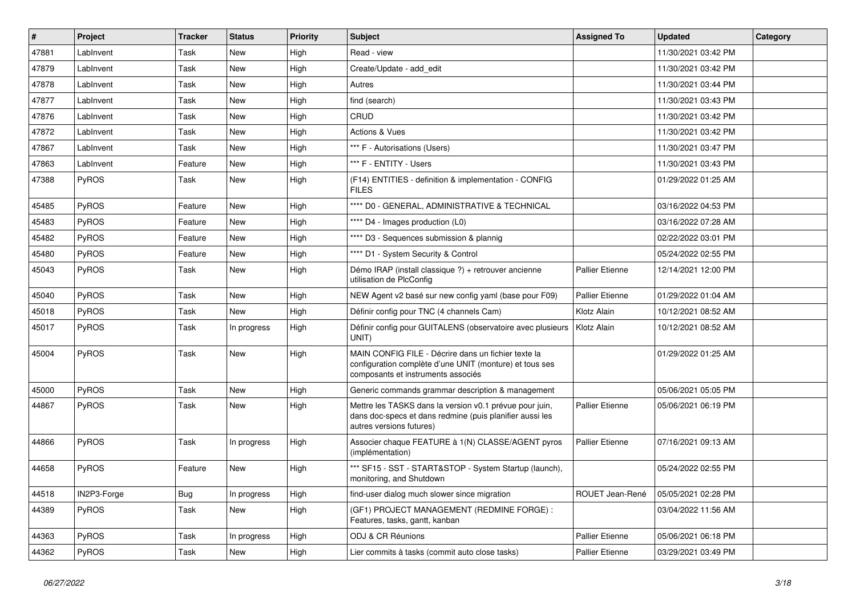| #     | Project      | <b>Tracker</b> | <b>Status</b> | <b>Priority</b> | Subject                                                                                                                                              | <b>Assigned To</b>     | <b>Updated</b>      | Category |
|-------|--------------|----------------|---------------|-----------------|------------------------------------------------------------------------------------------------------------------------------------------------------|------------------------|---------------------|----------|
| 47881 | LabInvent    | Task           | New           | High            | Read - view                                                                                                                                          |                        | 11/30/2021 03:42 PM |          |
| 47879 | LabInvent    | Task           | New           | High            | Create/Update - add edit                                                                                                                             |                        | 11/30/2021 03:42 PM |          |
| 47878 | LabInvent    | Task           | New           | High            | Autres                                                                                                                                               |                        | 11/30/2021 03:44 PM |          |
| 47877 | LabInvent    | Task           | New           | High            | find (search)                                                                                                                                        |                        | 11/30/2021 03:43 PM |          |
| 47876 | Lablnvent    | Task           | <b>New</b>    | High            | CRUD                                                                                                                                                 |                        | 11/30/2021 03:42 PM |          |
| 47872 | LabInvent    | Task           | New           | High            | Actions & Vues                                                                                                                                       |                        | 11/30/2021 03:42 PM |          |
| 47867 | LabInvent    | Task           | <b>New</b>    | High            | *** F - Autorisations (Users)                                                                                                                        |                        | 11/30/2021 03:47 PM |          |
| 47863 | LabInvent    | Feature        | New           | High            | *** F - ENTITY - Users                                                                                                                               |                        | 11/30/2021 03:43 PM |          |
| 47388 | PyROS        | Task           | New           | High            | (F14) ENTITIES - definition & implementation - CONFIG<br><b>FILES</b>                                                                                |                        | 01/29/2022 01:25 AM |          |
| 45485 | PyROS        | Feature        | <b>New</b>    | High            | **** D0 - GENERAL, ADMINISTRATIVE & TECHNICAL                                                                                                        |                        | 03/16/2022 04:53 PM |          |
| 45483 | PyROS        | Feature        | New           | High            | **** D4 - Images production (L0)                                                                                                                     |                        | 03/16/2022 07:28 AM |          |
| 45482 | PyROS        | Feature        | New           | High            | **** D3 - Sequences submission & plannig                                                                                                             |                        | 02/22/2022 03:01 PM |          |
| 45480 | PyROS        | Feature        | New           | High            | **** D1 - System Security & Control                                                                                                                  |                        | 05/24/2022 02:55 PM |          |
| 45043 | <b>PyROS</b> | Task           | New           | High            | Démo IRAP (install classique ?) + retrouver ancienne<br>utilisation de PlcConfig                                                                     | <b>Pallier Etienne</b> | 12/14/2021 12:00 PM |          |
| 45040 | PyROS        | Task           | New           | High            | NEW Agent v2 basé sur new config yaml (base pour F09)                                                                                                | <b>Pallier Etienne</b> | 01/29/2022 01:04 AM |          |
| 45018 | PyROS        | Task           | <b>New</b>    | High            | Définir config pour TNC (4 channels Cam)                                                                                                             | Klotz Alain            | 10/12/2021 08:52 AM |          |
| 45017 | <b>PyROS</b> | Task           | In progress   | High            | Définir config pour GUITALENS (observatoire avec plusieurs<br>UNIT)                                                                                  | Klotz Alain            | 10/12/2021 08:52 AM |          |
| 45004 | PyROS        | Task           | New           | High            | MAIN CONFIG FILE - Décrire dans un fichier texte la<br>configuration complète d'une UNIT (monture) et tous ses<br>composants et instruments associés |                        | 01/29/2022 01:25 AM |          |
| 45000 | PyROS        | Task           | New           | High            | Generic commands grammar description & management                                                                                                    |                        | 05/06/2021 05:05 PM |          |
| 44867 | <b>PyROS</b> | Task           | New           | High            | Mettre les TASKS dans la version v0.1 prévue pour juin,<br>dans doc-specs et dans redmine (puis planifier aussi les<br>autres versions futures)      | <b>Pallier Etienne</b> | 05/06/2021 06:19 PM |          |
| 44866 | PyROS        | Task           | In progress   | High            | Associer chaque FEATURE à 1(N) CLASSE/AGENT pyros<br>(implémentation)                                                                                | <b>Pallier Etienne</b> | 07/16/2021 09:13 AM |          |
| 44658 | PyROS        | Feature        | New           | High            | *** SF15 - SST - START&STOP - System Startup (launch),<br>monitoring, and Shutdown                                                                   |                        | 05/24/2022 02:55 PM |          |
| 44518 | IN2P3-Forge  | <b>Bug</b>     | In progress   | High            | find-user dialog much slower since migration                                                                                                         | ROUET Jean-René        | 05/05/2021 02:28 PM |          |
| 44389 | PyROS        | Task           | New           | High            | (GF1) PROJECT MANAGEMENT (REDMINE FORGE) :<br>Features, tasks, gantt, kanban                                                                         |                        | 03/04/2022 11:56 AM |          |
| 44363 | PyROS        | Task           | In progress   | High            | ODJ & CR Réunions                                                                                                                                    | Pallier Etienne        | 05/06/2021 06:18 PM |          |
| 44362 | PyROS        | Task           | New           | High            | Lier commits à tasks (commit auto close tasks)                                                                                                       | Pallier Etienne        | 03/29/2021 03:49 PM |          |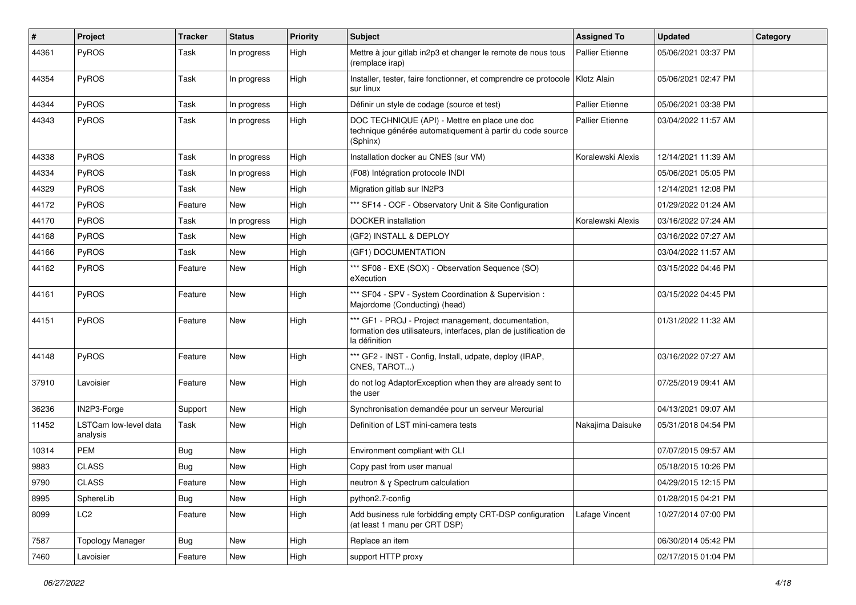| $\vert$ # | Project                           | <b>Tracker</b> | <b>Status</b> | <b>Priority</b> | <b>Subject</b>                                                                                                                           | <b>Assigned To</b>     | <b>Updated</b>      | Category |
|-----------|-----------------------------------|----------------|---------------|-----------------|------------------------------------------------------------------------------------------------------------------------------------------|------------------------|---------------------|----------|
| 44361     | PyROS                             | Task           | In progress   | High            | Mettre à jour gitlab in2p3 et changer le remote de nous tous<br>(remplace irap)                                                          | <b>Pallier Etienne</b> | 05/06/2021 03:37 PM |          |
| 44354     | PyROS                             | Task           | In progress   | High            | Installer, tester, faire fonctionner, et comprendre ce protocole<br>sur linux                                                            | Klotz Alain            | 05/06/2021 02:47 PM |          |
| 44344     | <b>PyROS</b>                      | Task           | In progress   | High            | Définir un style de codage (source et test)                                                                                              | Pallier Etienne        | 05/06/2021 03:38 PM |          |
| 44343     | PyROS                             | Task           | In progress   | High            | DOC TECHNIQUE (API) - Mettre en place une doc<br>technique générée automatiquement à partir du code source<br>(Sphinx)                   | <b>Pallier Etienne</b> | 03/04/2022 11:57 AM |          |
| 44338     | <b>PyROS</b>                      | Task           | In progress   | High            | Installation docker au CNES (sur VM)                                                                                                     | Koralewski Alexis      | 12/14/2021 11:39 AM |          |
| 44334     | PyROS                             | Task           | In progress   | High            | (F08) Intégration protocole INDI                                                                                                         |                        | 05/06/2021 05:05 PM |          |
| 44329     | PyROS                             | Task           | <b>New</b>    | High            | Migration gitlab sur IN2P3                                                                                                               |                        | 12/14/2021 12:08 PM |          |
| 44172     | PyROS                             | Feature        | <b>New</b>    | High            | *** SF14 - OCF - Observatory Unit & Site Configuration                                                                                   |                        | 01/29/2022 01:24 AM |          |
| 44170     | PyROS                             | Task           | In progress   | High            | <b>DOCKER</b> installation                                                                                                               | Koralewski Alexis      | 03/16/2022 07:24 AM |          |
| 44168     | PyROS                             | Task           | New           | High            | (GF2) INSTALL & DEPLOY                                                                                                                   |                        | 03/16/2022 07:27 AM |          |
| 44166     | PyROS                             | Task           | <b>New</b>    | High            | (GF1) DOCUMENTATION                                                                                                                      |                        | 03/04/2022 11:57 AM |          |
| 44162     | PyROS                             | Feature        | <b>New</b>    | High            | *** SF08 - EXE (SOX) - Observation Sequence (SO)<br>eXecution                                                                            |                        | 03/15/2022 04:46 PM |          |
| 44161     | PyROS                             | Feature        | New           | High            | *** SF04 - SPV - System Coordination & Supervision :<br>Majordome (Conducting) (head)                                                    |                        | 03/15/2022 04:45 PM |          |
| 44151     | PyROS                             | Feature        | New           | High            | *** GF1 - PROJ - Project management, documentation,<br>formation des utilisateurs, interfaces, plan de justification de<br>la définition |                        | 01/31/2022 11:32 AM |          |
| 44148     | PyROS                             | Feature        | <b>New</b>    | High            | *** GF2 - INST - Config, Install, udpate, deploy (IRAP,<br>CNES, TAROT)                                                                  |                        | 03/16/2022 07:27 AM |          |
| 37910     | Lavoisier                         | Feature        | New           | High            | do not log AdaptorException when they are already sent to<br>the user                                                                    |                        | 07/25/2019 09:41 AM |          |
| 36236     | IN2P3-Forge                       | Support        | New           | High            | Synchronisation demandée pour un serveur Mercurial                                                                                       |                        | 04/13/2021 09:07 AM |          |
| 11452     | LSTCam low-level data<br>analysis | Task           | New           | High            | Definition of LST mini-camera tests                                                                                                      | Nakajima Daisuke       | 05/31/2018 04:54 PM |          |
| 10314     | <b>PEM</b>                        | <b>Bug</b>     | <b>New</b>    | High            | Environment compliant with CLI                                                                                                           |                        | 07/07/2015 09:57 AM |          |
| 9883      | <b>CLASS</b>                      | <b>Bug</b>     | New           | High            | Copy past from user manual                                                                                                               |                        | 05/18/2015 10:26 PM |          |
| 9790      | <b>CLASS</b>                      | Feature        | New           | High            | neutron & γ Spectrum calculation                                                                                                         |                        | 04/29/2015 12:15 PM |          |
| 8995      | SphereLib                         | <b>Bug</b>     | New           | High            | python2.7-config                                                                                                                         |                        | 01/28/2015 04:21 PM |          |
| 8099      | LC <sub>2</sub>                   | Feature        | New           | High            | Add business rule forbidding empty CRT-DSP configuration<br>(at least 1 manu per CRT DSP)                                                | Lafage Vincent         | 10/27/2014 07:00 PM |          |
| 7587      | <b>Topology Manager</b>           | <b>Bug</b>     | New           | High            | Replace an item                                                                                                                          |                        | 06/30/2014 05:42 PM |          |
| 7460      | Lavoisier                         | Feature        | New           | High            | support HTTP proxy                                                                                                                       |                        | 02/17/2015 01:04 PM |          |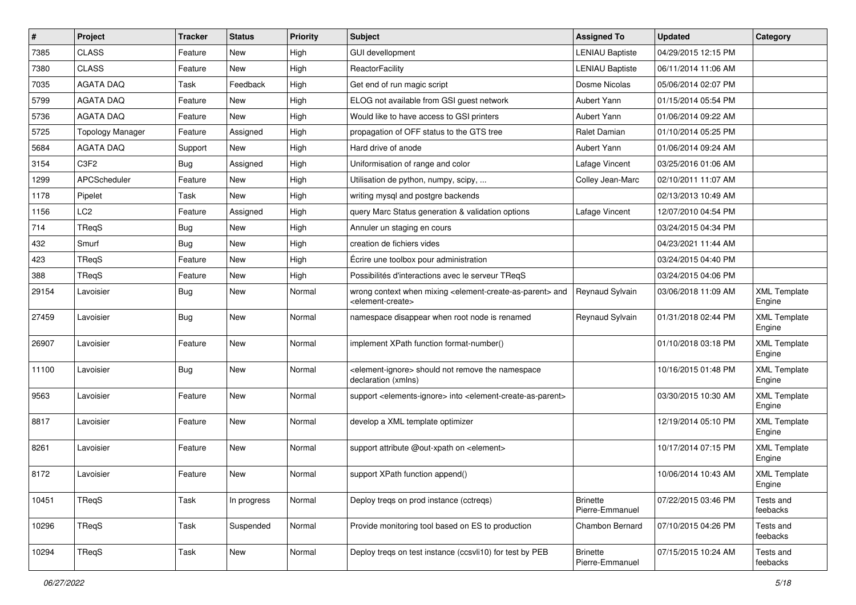| $\vert$ # | Project                 | <b>Tracker</b> | <b>Status</b> | <b>Priority</b> | Subject                                                                                                                   | <b>Assigned To</b>                 | <b>Updated</b>      | Category                      |
|-----------|-------------------------|----------------|---------------|-----------------|---------------------------------------------------------------------------------------------------------------------------|------------------------------------|---------------------|-------------------------------|
| 7385      | <b>CLASS</b>            | Feature        | New           | High            | <b>GUI devellopment</b>                                                                                                   | <b>LENIAU Baptiste</b>             | 04/29/2015 12:15 PM |                               |
| 7380      | <b>CLASS</b>            | Feature        | <b>New</b>    | High            | ReactorFacility                                                                                                           | <b>LENIAU Baptiste</b>             | 06/11/2014 11:06 AM |                               |
| 7035      | <b>AGATA DAQ</b>        | Task           | Feedback      | High            | Get end of run magic script                                                                                               | Dosme Nicolas                      | 05/06/2014 02:07 PM |                               |
| 5799      | <b>AGATA DAQ</b>        | Feature        | New           | High            | ELOG not available from GSI guest network                                                                                 | Aubert Yann                        | 01/15/2014 05:54 PM |                               |
| 5736      | <b>AGATA DAQ</b>        | Feature        | New           | High            | Would like to have access to GSI printers                                                                                 | Aubert Yann                        | 01/06/2014 09:22 AM |                               |
| 5725      | <b>Topology Manager</b> | Feature        | Assigned      | High            | propagation of OFF status to the GTS tree                                                                                 | Ralet Damian                       | 01/10/2014 05:25 PM |                               |
| 5684      | <b>AGATA DAQ</b>        | Support        | New           | High            | Hard drive of anode                                                                                                       | Aubert Yann                        | 01/06/2014 09:24 AM |                               |
| 3154      | C3F2                    | <b>Bug</b>     | Assigned      | High            | Uniformisation of range and color                                                                                         | Lafage Vincent                     | 03/25/2016 01:06 AM |                               |
| 1299      | APCScheduler            | Feature        | New           | High            | Utilisation de python, numpy, scipy,                                                                                      | Colley Jean-Marc                   | 02/10/2011 11:07 AM |                               |
| 1178      | Pipelet                 | Task           | <b>New</b>    | High            | writing mysql and postgre backends                                                                                        |                                    | 02/13/2013 10:49 AM |                               |
| 1156      | LC <sub>2</sub>         | Feature        | Assigned      | High            | query Marc Status generation & validation options                                                                         | Lafage Vincent                     | 12/07/2010 04:54 PM |                               |
| 714       | TRegS                   | Bug            | New           | High            | Annuler un staging en cours                                                                                               |                                    | 03/24/2015 04:34 PM |                               |
| 432       | Smurf                   | <b>Bug</b>     | <b>New</b>    | High            | creation de fichiers vides                                                                                                |                                    | 04/23/2021 11:44 AM |                               |
| 423       | TReqS                   | Feature        | New           | High            | Écrire une toolbox pour administration                                                                                    |                                    | 03/24/2015 04:40 PM |                               |
| 388       | <b>TRegS</b>            | Feature        | <b>New</b>    | High            | Possibilités d'interactions avec le serveur TReqS                                                                         |                                    | 03/24/2015 04:06 PM |                               |
| 29154     | Lavoisier               | <b>Bug</b>     | New           | Normal          | wrong context when mixing <element-create-as-parent> and<br/><element-create></element-create></element-create-as-parent> | Reynaud Sylvain                    | 03/06/2018 11:09 AM | <b>XML Template</b><br>Engine |
| 27459     | Lavoisier               | <b>Bug</b>     | <b>New</b>    | Normal          | namespace disappear when root node is renamed                                                                             | Reynaud Sylvain                    | 01/31/2018 02:44 PM | <b>XML Template</b><br>Engine |
| 26907     | Lavoisier               | Feature        | <b>New</b>    | Normal          | implement XPath function format-number()                                                                                  |                                    | 01/10/2018 03:18 PM | <b>XML Template</b><br>Engine |
| 11100     | Lavoisier               | <b>Bug</b>     | <b>New</b>    | Normal          | <element-ignore> should not remove the namespace<br/>declaration (xmlns)</element-ignore>                                 |                                    | 10/16/2015 01:48 PM | <b>XML Template</b><br>Engine |
| 9563      | Lavoisier               | Feature        | New           | Normal          | support <elements-ignore> into <element-create-as-parent></element-create-as-parent></elements-ignore>                    |                                    | 03/30/2015 10:30 AM | <b>XML Template</b><br>Engine |
| 8817      | Lavoisier               | Feature        | <b>New</b>    | Normal          | develop a XML template optimizer                                                                                          |                                    | 12/19/2014 05:10 PM | <b>XML Template</b><br>Engine |
| 8261      | Lavoisier               | Feature        | <b>New</b>    | Normal          | support attribute @out-xpath on <element></element>                                                                       |                                    | 10/17/2014 07:15 PM | <b>XML Template</b><br>Engine |
| 8172      | Lavoisier               | Feature        | <b>New</b>    | Normal          | support XPath function append()                                                                                           |                                    | 10/06/2014 10:43 AM | <b>XML Template</b><br>⊨ngine |
| 10451     | TReqS                   | Task           | In progress   | Normal          | Deploy tregs on prod instance (cctregs)                                                                                   | <b>Brinette</b><br>Pierre-Emmanuel | 07/22/2015 03:46 PM | Tests and<br>feebacks         |
| 10296     | TReqS                   | Task           | Suspended     | Normal          | Provide monitoring tool based on ES to production                                                                         | Chambon Bernard                    | 07/10/2015 04:26 PM | Tests and<br>feebacks         |
| 10294     | <b>TReqS</b>            | Task           | New           | Normal          | Deploy treqs on test instance (ccsvli10) for test by PEB                                                                  | <b>Brinette</b><br>Pierre-Emmanuel | 07/15/2015 10:24 AM | Tests and<br>feebacks         |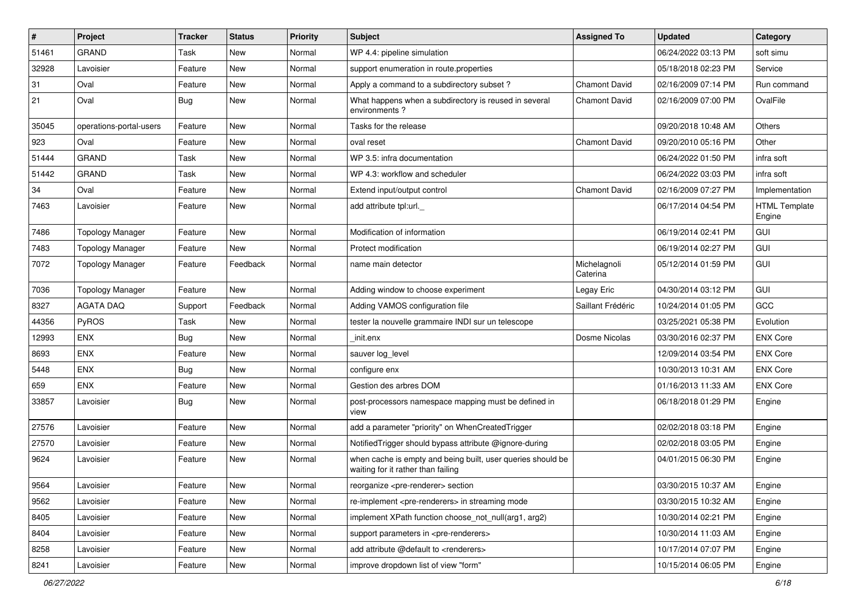| $\sharp$ | Project                 | <b>Tracker</b> | <b>Status</b> | <b>Priority</b> | <b>Subject</b>                                                                                    | <b>Assigned To</b>       | <b>Updated</b>      | Category                       |
|----------|-------------------------|----------------|---------------|-----------------|---------------------------------------------------------------------------------------------------|--------------------------|---------------------|--------------------------------|
| 51461    | <b>GRAND</b>            | Task           | <b>New</b>    | Normal          | WP 4.4: pipeline simulation                                                                       |                          | 06/24/2022 03:13 PM | soft simu                      |
| 32928    | Lavoisier               | Feature        | <b>New</b>    | Normal          | support enumeration in route properties                                                           |                          | 05/18/2018 02:23 PM | Service                        |
| 31       | Oval                    | Feature        | <b>New</b>    | Normal          | Apply a command to a subdirectory subset?                                                         | <b>Chamont David</b>     | 02/16/2009 07:14 PM | Run command                    |
| 21       | Oval                    | Bug            | New           | Normal          | What happens when a subdirectory is reused in several<br>environments?                            | <b>Chamont David</b>     | 02/16/2009 07:00 PM | OvalFile                       |
| 35045    | operations-portal-users | Feature        | <b>New</b>    | Normal          | Tasks for the release                                                                             |                          | 09/20/2018 10:48 AM | Others                         |
| 923      | Oval                    | Feature        | New           | Normal          | oval reset                                                                                        | <b>Chamont David</b>     | 09/20/2010 05:16 PM | Other                          |
| 51444    | <b>GRAND</b>            | Task           | <b>New</b>    | Normal          | WP 3.5: infra documentation                                                                       |                          | 06/24/2022 01:50 PM | infra soft                     |
| 51442    | <b>GRAND</b>            | Task           | <b>New</b>    | Normal          | WP 4.3: workflow and scheduler                                                                    |                          | 06/24/2022 03:03 PM | infra soft                     |
| 34       | Oval                    | Feature        | <b>New</b>    | Normal          | Extend input/output control                                                                       | <b>Chamont David</b>     | 02/16/2009 07:27 PM | Implementation                 |
| 7463     | Lavoisier               | Feature        | New           | Normal          | add attribute tpl:url._                                                                           |                          | 06/17/2014 04:54 PM | <b>HTML Template</b><br>Engine |
| 7486     | <b>Topology Manager</b> | Feature        | <b>New</b>    | Normal          | Modification of information                                                                       |                          | 06/19/2014 02:41 PM | GUI                            |
| 7483     | <b>Topology Manager</b> | Feature        | New           | Normal          | Protect modification                                                                              |                          | 06/19/2014 02:27 PM | GUI                            |
| 7072     | <b>Topology Manager</b> | Feature        | Feedback      | Normal          | name main detector                                                                                | Michelagnoli<br>Caterina | 05/12/2014 01:59 PM | GUI                            |
| 7036     | <b>Topology Manager</b> | Feature        | <b>New</b>    | Normal          | Adding window to choose experiment                                                                | Legay Eric               | 04/30/2014 03:12 PM | GUI                            |
| 8327     | <b>AGATA DAO</b>        | Support        | Feedback      | Normal          | Adding VAMOS configuration file                                                                   | Saillant Frédéric        | 10/24/2014 01:05 PM | GCC                            |
| 44356    | PyROS                   | Task           | <b>New</b>    | Normal          | tester la nouvelle grammaire INDI sur un telescope                                                |                          | 03/25/2021 05:38 PM | Evolution                      |
| 12993    | <b>ENX</b>              | Bug            | <b>New</b>    | Normal          | init.enx                                                                                          | Dosme Nicolas            | 03/30/2016 02:37 PM | <b>ENX Core</b>                |
| 8693     | <b>ENX</b>              | Feature        | <b>New</b>    | Normal          | sauver log_level                                                                                  |                          | 12/09/2014 03:54 PM | <b>ENX Core</b>                |
| 5448     | <b>ENX</b>              | <b>Bug</b>     | <b>New</b>    | Normal          | configure enx                                                                                     |                          | 10/30/2013 10:31 AM | <b>ENX Core</b>                |
| 659      | ENX                     | Feature        | <b>New</b>    | Normal          | Gestion des arbres DOM                                                                            |                          | 01/16/2013 11:33 AM | <b>ENX Core</b>                |
| 33857    | Lavoisier               | Bug            | New           | Normal          | post-processors namespace mapping must be defined in<br>view                                      |                          | 06/18/2018 01:29 PM | Engine                         |
| 27576    | Lavoisier               | Feature        | <b>New</b>    | Normal          | add a parameter "priority" on WhenCreatedTrigger                                                  |                          | 02/02/2018 03:18 PM | Engine                         |
| 27570    | Lavoisier               | Feature        | New           | Normal          | NotifiedTrigger should bypass attribute @ignore-during                                            |                          | 02/02/2018 03:05 PM | Engine                         |
| 9624     | Lavoisier               | Feature        | New           | Normal          | when cache is empty and being built, user queries should be<br>waiting for it rather than failing |                          | 04/01/2015 06:30 PM | Engine                         |
| 9564     | Lavoisier               | Feature        | New           | Normal          | reorganize <pre-renderer> section</pre-renderer>                                                  |                          | 03/30/2015 10:37 AM | Engine                         |
| 9562     | Lavoisier               | Feature        | New           | Normal          | re-implement <pre-renderers> in streaming mode</pre-renderers>                                    |                          | 03/30/2015 10:32 AM | Engine                         |
| 8405     | Lavoisier               | Feature        | New           | Normal          | implement XPath function choose not null(arg1, arg2)                                              |                          | 10/30/2014 02:21 PM | Engine                         |
| 8404     | Lavoisier               | Feature        | New           | Normal          | support parameters in <pre-renderers></pre-renderers>                                             |                          | 10/30/2014 11:03 AM | Engine                         |
| 8258     | Lavoisier               | Feature        | New           | Normal          | add attribute @default to <renderers></renderers>                                                 |                          | 10/17/2014 07:07 PM | Engine                         |
| 8241     | Lavoisier               | Feature        | New           | Normal          | improve dropdown list of view "form"                                                              |                          | 10/15/2014 06:05 PM | Engine                         |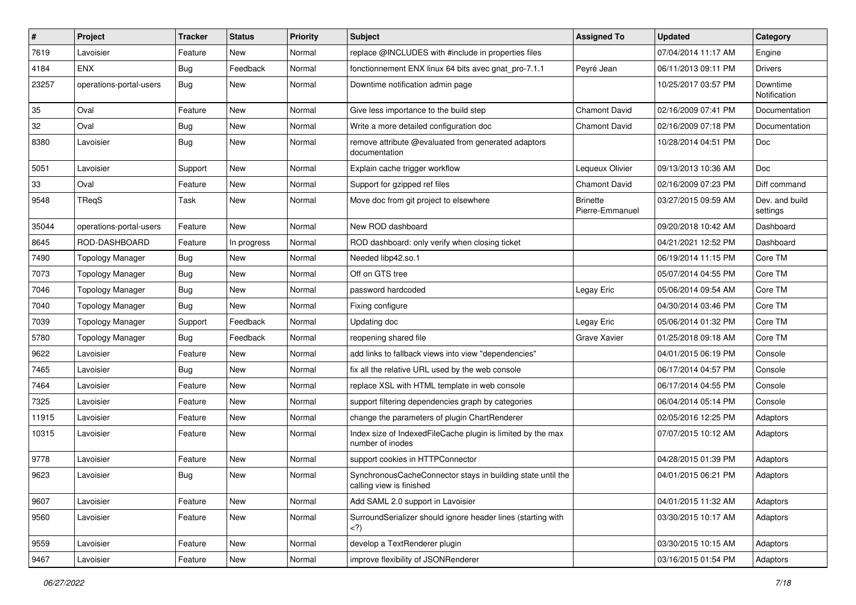| $\sharp$ | Project                 | <b>Tracker</b> | <b>Status</b> | <b>Priority</b> | <b>Subject</b>                                                                                                                 | <b>Assigned To</b>                 | <b>Updated</b>      | Category                   |
|----------|-------------------------|----------------|---------------|-----------------|--------------------------------------------------------------------------------------------------------------------------------|------------------------------------|---------------------|----------------------------|
| 7619     | Lavoisier               | Feature        | New           | Normal          | replace @INCLUDES with #include in properties files                                                                            |                                    | 07/04/2014 11:17 AM | Engine                     |
| 4184     | <b>ENX</b>              | <b>Bug</b>     | Feedback      | Normal          | fonctionnement ENX linux 64 bits avec gnat_pro-7.1.1                                                                           | Peyré Jean                         | 06/11/2013 09:11 PM | <b>Drivers</b>             |
| 23257    | operations-portal-users | <b>Bug</b>     | New           | Normal          | Downtime notification admin page                                                                                               |                                    | 10/25/2017 03:57 PM | Downtime<br>Notification   |
| 35       | Oval                    | Feature        | New           | Normal          | Give less importance to the build step                                                                                         | <b>Chamont David</b>               | 02/16/2009 07:41 PM | Documentation              |
| 32       | Oval                    | <b>Bug</b>     | New           | Normal          | Write a more detailed configuration doc                                                                                        | Chamont David                      | 02/16/2009 07:18 PM | Documentation              |
| 8380     | Lavoisier               | <b>Bug</b>     | New           | Normal          | remove attribute @evaluated from generated adaptors<br>documentation                                                           |                                    | 10/28/2014 04:51 PM | Doc                        |
| 5051     | Lavoisier               | Support        | New           | Normal          | Explain cache trigger workflow                                                                                                 | Lequeux Olivier                    | 09/13/2013 10:36 AM | Doc                        |
| 33       | Oval                    | Feature        | New           | Normal          | Support for gzipped ref files                                                                                                  | Chamont David                      | 02/16/2009 07:23 PM | Diff command               |
| 9548     | TReqS                   | Task           | New           | Normal          | Move doc from git project to elsewhere                                                                                         | <b>Brinette</b><br>Pierre-Emmanuel | 03/27/2015 09:59 AM | Dev. and build<br>settings |
| 35044    | operations-portal-users | Feature        | <b>New</b>    | Normal          | New ROD dashboard                                                                                                              |                                    | 09/20/2018 10:42 AM | Dashboard                  |
| 8645     | ROD-DASHBOARD           | Feature        | In progress   | Normal          | ROD dashboard: only verify when closing ticket                                                                                 |                                    | 04/21/2021 12:52 PM | Dashboard                  |
| 7490     | <b>Topology Manager</b> | <b>Bug</b>     | New           | Normal          | Needed libp42.so.1                                                                                                             |                                    | 06/19/2014 11:15 PM | Core TM                    |
| 7073     | <b>Topology Manager</b> | <b>Bug</b>     | New           | Normal          | Off on GTS tree                                                                                                                |                                    | 05/07/2014 04:55 PM | Core TM                    |
| 7046     | <b>Topology Manager</b> | <b>Bug</b>     | New           | Normal          | password hardcoded                                                                                                             | Legay Eric                         | 05/06/2014 09:54 AM | Core TM                    |
| 7040     | <b>Topology Manager</b> | <b>Bug</b>     | New           | Normal          | Fixing configure                                                                                                               |                                    | 04/30/2014 03:46 PM | Core TM                    |
| 7039     | <b>Topology Manager</b> | Support        | Feedback      | Normal          | Updating doc                                                                                                                   | Legay Eric                         | 05/06/2014 01:32 PM | Core TM                    |
| 5780     | <b>Topology Manager</b> | Bug            | Feedback      | Normal          | reopening shared file                                                                                                          | Grave Xavier                       | 01/25/2018 09:18 AM | Core TM                    |
| 9622     | Lavoisier               | Feature        | New           | Normal          | add links to fallback views into view "dependencies"                                                                           |                                    | 04/01/2015 06:19 PM | Console                    |
| 7465     | Lavoisier               | <b>Bug</b>     | New           | Normal          | fix all the relative URL used by the web console                                                                               |                                    | 06/17/2014 04:57 PM | Console                    |
| 7464     | Lavoisier               | Feature        | New           | Normal          | replace XSL with HTML template in web console                                                                                  |                                    | 06/17/2014 04:55 PM | Console                    |
| 7325     | Lavoisier               | Feature        | New           | Normal          | support filtering dependencies graph by categories                                                                             |                                    | 06/04/2014 05:14 PM | Console                    |
| 11915    | Lavoisier               | Feature        | New           | Normal          | change the parameters of plugin ChartRenderer                                                                                  |                                    | 02/05/2016 12:25 PM | Adaptors                   |
| 10315    | Lavoisier               | Feature        | New           | Normal          | Index size of IndexedFileCache plugin is limited by the max<br>number of inodes                                                |                                    | 07/07/2015 10:12 AM | Adaptors                   |
| 9778     | Lavoisier               | Feature        | New           | Normal          | support cookies in HTTPConnector                                                                                               |                                    | 04/28/2015 01:39 PM | Adaptors                   |
| 9623     | Lavoisier               | Bug            | New           | Normal          | SynchronousCacheConnector stays in building state until the<br>calling view is finished                                        |                                    | 04/01/2015 06:21 PM | Adaptors                   |
| 9607     | Lavoisier               | Feature        | New           | Normal          | Add SAML 2.0 support in Lavoisier                                                                                              |                                    | 04/01/2015 11:32 AM | Adaptors                   |
| 9560     | Lavoisier               | Feature        | New           | Normal          | SurroundSerializer should ignore header lines (starting with<br>)</td <td></td> <td>03/30/2015 10:17 AM</td> <td>Adaptors</td> |                                    | 03/30/2015 10:17 AM | Adaptors                   |
| 9559     | Lavoisier               | Feature        | New           | Normal          | develop a TextRenderer plugin                                                                                                  |                                    | 03/30/2015 10:15 AM | Adaptors                   |
| 9467     | Lavoisier               | Feature        | New           | Normal          | improve flexibility of JSONRenderer                                                                                            |                                    | 03/16/2015 01:54 PM | Adaptors                   |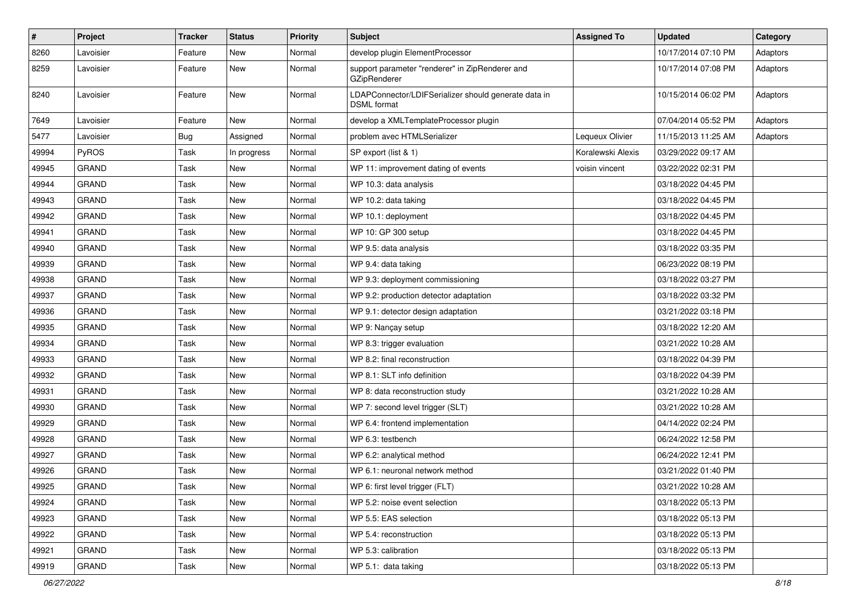| $\vert$ # | Project      | <b>Tracker</b> | <b>Status</b> | <b>Priority</b> | <b>Subject</b>                                                             | <b>Assigned To</b> | <b>Updated</b>      | Category |
|-----------|--------------|----------------|---------------|-----------------|----------------------------------------------------------------------------|--------------------|---------------------|----------|
| 8260      | Lavoisier    | Feature        | New           | Normal          | develop plugin ElementProcessor                                            |                    | 10/17/2014 07:10 PM | Adaptors |
| 8259      | Lavoisier    | Feature        | New           | Normal          | support parameter "renderer" in ZipRenderer and<br>GZipRenderer            |                    | 10/17/2014 07:08 PM | Adaptors |
| 8240      | Lavoisier    | Feature        | <b>New</b>    | Normal          | LDAPConnector/LDIFSerializer should generate data in<br><b>DSML</b> format |                    | 10/15/2014 06:02 PM | Adaptors |
| 7649      | Lavoisier    | Feature        | New           | Normal          | develop a XMLTemplateProcessor plugin                                      |                    | 07/04/2014 05:52 PM | Adaptors |
| 5477      | Lavoisier    | <b>Bug</b>     | Assigned      | Normal          | problem avec HTMLSerializer                                                | Lequeux Olivier    | 11/15/2013 11:25 AM | Adaptors |
| 49994     | PyROS        | Task           | In progress   | Normal          | SP export (list & 1)                                                       | Koralewski Alexis  | 03/29/2022 09:17 AM |          |
| 49945     | GRAND        | Task           | New           | Normal          | WP 11: improvement dating of events                                        | voisin vincent     | 03/22/2022 02:31 PM |          |
| 49944     | GRAND        | Task           | New           | Normal          | WP 10.3: data analysis                                                     |                    | 03/18/2022 04:45 PM |          |
| 49943     | <b>GRAND</b> | Task           | New           | Normal          | WP 10.2: data taking                                                       |                    | 03/18/2022 04:45 PM |          |
| 49942     | GRAND        | Task           | New           | Normal          | WP 10.1: deployment                                                        |                    | 03/18/2022 04:45 PM |          |
| 49941     | <b>GRAND</b> | Task           | New           | Normal          | WP 10: GP 300 setup                                                        |                    | 03/18/2022 04:45 PM |          |
| 49940     | GRAND        | Task           | New           | Normal          | WP 9.5: data analysis                                                      |                    | 03/18/2022 03:35 PM |          |
| 49939     | <b>GRAND</b> | Task           | <b>New</b>    | Normal          | WP 9.4: data taking                                                        |                    | 06/23/2022 08:19 PM |          |
| 49938     | <b>GRAND</b> | Task           | New           | Normal          | WP 9.3: deployment commissioning                                           |                    | 03/18/2022 03:27 PM |          |
| 49937     | GRAND        | Task           | New           | Normal          | WP 9.2: production detector adaptation                                     |                    | 03/18/2022 03:32 PM |          |
| 49936     | <b>GRAND</b> | Task           | New           | Normal          | WP 9.1: detector design adaptation                                         |                    | 03/21/2022 03:18 PM |          |
| 49935     | GRAND        | Task           | New           | Normal          | WP 9: Nançay setup                                                         |                    | 03/18/2022 12:20 AM |          |
| 49934     | <b>GRAND</b> | Task           | <b>New</b>    | Normal          | WP 8.3: trigger evaluation                                                 |                    | 03/21/2022 10:28 AM |          |
| 49933     | GRAND        | Task           | New           | Normal          | WP 8.2: final reconstruction                                               |                    | 03/18/2022 04:39 PM |          |
| 49932     | GRAND        | Task           | New           | Normal          | WP 8.1: SLT info definition                                                |                    | 03/18/2022 04:39 PM |          |
| 49931     | GRAND        | Task           | New           | Normal          | WP 8: data reconstruction study                                            |                    | 03/21/2022 10:28 AM |          |
| 49930     | <b>GRAND</b> | Task           | New           | Normal          | WP 7: second level trigger (SLT)                                           |                    | 03/21/2022 10:28 AM |          |
| 49929     | GRAND        | Task           | New           | Normal          | WP 6.4: frontend implementation                                            |                    | 04/14/2022 02:24 PM |          |
| 49928     | <b>GRAND</b> | Task           | New           | Normal          | WP 6.3: testbench                                                          |                    | 06/24/2022 12:58 PM |          |
| 49927     | GRAND        | Task           | New           | Normal          | WP 6.2: analytical method                                                  |                    | 06/24/2022 12:41 PM |          |
| 49926     | GRAND        | Task           | New           | Normal          | WP 6.1: neuronal network method                                            |                    | 03/21/2022 01:40 PM |          |
| 49925     | GRAND        | Task           | New           | Normal          | WP 6: first level trigger (FLT)                                            |                    | 03/21/2022 10:28 AM |          |
| 49924     | <b>GRAND</b> | Task           | New           | Normal          | WP 5.2: noise event selection                                              |                    | 03/18/2022 05:13 PM |          |
| 49923     | GRAND        | Task           | New           | Normal          | WP 5.5: EAS selection                                                      |                    | 03/18/2022 05:13 PM |          |
| 49922     | <b>GRAND</b> | Task           | New           | Normal          | WP 5.4: reconstruction                                                     |                    | 03/18/2022 05:13 PM |          |
| 49921     | <b>GRAND</b> | Task           | New           | Normal          | WP 5.3: calibration                                                        |                    | 03/18/2022 05:13 PM |          |
| 49919     | GRAND        | Task           | New           | Normal          | WP 5.1: data taking                                                        |                    | 03/18/2022 05:13 PM |          |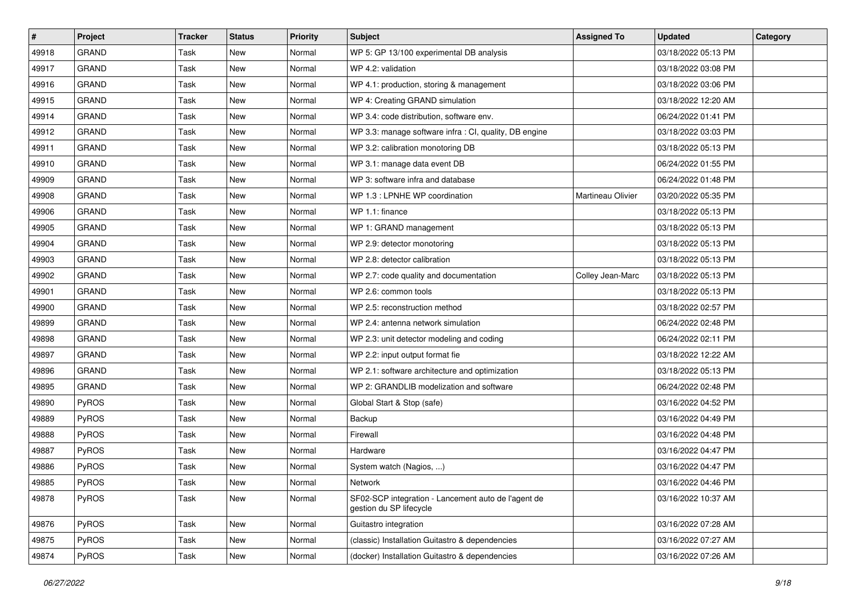| #     | <b>Project</b> | <b>Tracker</b> | <b>Status</b> | <b>Priority</b> | <b>Subject</b>                                                                 | <b>Assigned To</b> | <b>Updated</b>      | Category |
|-------|----------------|----------------|---------------|-----------------|--------------------------------------------------------------------------------|--------------------|---------------------|----------|
| 49918 | <b>GRAND</b>   | Task           | <b>New</b>    | Normal          | WP 5: GP 13/100 experimental DB analysis                                       |                    | 03/18/2022 05:13 PM |          |
| 49917 | <b>GRAND</b>   | Task           | <b>New</b>    | Normal          | WP 4.2: validation                                                             |                    | 03/18/2022 03:08 PM |          |
| 49916 | <b>GRAND</b>   | Task           | New           | Normal          | WP 4.1: production, storing & management                                       |                    | 03/18/2022 03:06 PM |          |
| 49915 | <b>GRAND</b>   | Task           | New           | Normal          | WP 4: Creating GRAND simulation                                                |                    | 03/18/2022 12:20 AM |          |
| 49914 | <b>GRAND</b>   | Task           | <b>New</b>    | Normal          | WP 3.4: code distribution, software env.                                       |                    | 06/24/2022 01:41 PM |          |
| 49912 | <b>GRAND</b>   | Task           | New           | Normal          | WP 3.3: manage software infra : CI, quality, DB engine                         |                    | 03/18/2022 03:03 PM |          |
| 49911 | <b>GRAND</b>   | Task           | <b>New</b>    | Normal          | WP 3.2: calibration monotoring DB                                              |                    | 03/18/2022 05:13 PM |          |
| 49910 | <b>GRAND</b>   | Task           | New           | Normal          | WP 3.1: manage data event DB                                                   |                    | 06/24/2022 01:55 PM |          |
| 49909 | <b>GRAND</b>   | Task           | New           | Normal          | WP 3: software infra and database                                              |                    | 06/24/2022 01:48 PM |          |
| 49908 | <b>GRAND</b>   | Task           | <b>New</b>    | Normal          | WP 1.3 : LPNHE WP coordination                                                 | Martineau Olivier  | 03/20/2022 05:35 PM |          |
| 49906 | <b>GRAND</b>   | Task           | <b>New</b>    | Normal          | WP 1.1: finance                                                                |                    | 03/18/2022 05:13 PM |          |
| 49905 | <b>GRAND</b>   | Task           | New           | Normal          | WP 1: GRAND management                                                         |                    | 03/18/2022 05:13 PM |          |
| 49904 | GRAND          | Task           | <b>New</b>    | Normal          | WP 2.9: detector monotoring                                                    |                    | 03/18/2022 05:13 PM |          |
| 49903 | <b>GRAND</b>   | Task           | <b>New</b>    | Normal          | WP 2.8: detector calibration                                                   |                    | 03/18/2022 05:13 PM |          |
| 49902 | <b>GRAND</b>   | Task           | <b>New</b>    | Normal          | WP 2.7: code quality and documentation                                         | Colley Jean-Marc   | 03/18/2022 05:13 PM |          |
| 49901 | <b>GRAND</b>   | Task           | New           | Normal          | WP 2.6: common tools                                                           |                    | 03/18/2022 05:13 PM |          |
| 49900 | <b>GRAND</b>   | Task           | <b>New</b>    | Normal          | WP 2.5: reconstruction method                                                  |                    | 03/18/2022 02:57 PM |          |
| 49899 | <b>GRAND</b>   | Task           | <b>New</b>    | Normal          | WP 2.4: antenna network simulation                                             |                    | 06/24/2022 02:48 PM |          |
| 49898 | <b>GRAND</b>   | Task           | New           | Normal          | WP 2.3: unit detector modeling and coding                                      |                    | 06/24/2022 02:11 PM |          |
| 49897 | <b>GRAND</b>   | Task           | <b>New</b>    | Normal          | WP 2.2: input output format fie                                                |                    | 03/18/2022 12:22 AM |          |
| 49896 | <b>GRAND</b>   | Task           | New           | Normal          | WP 2.1: software architecture and optimization                                 |                    | 03/18/2022 05:13 PM |          |
| 49895 | <b>GRAND</b>   | Task           | New           | Normal          | WP 2: GRANDLIB modelization and software                                       |                    | 06/24/2022 02:48 PM |          |
| 49890 | PyROS          | Task           | <b>New</b>    | Normal          | Global Start & Stop (safe)                                                     |                    | 03/16/2022 04:52 PM |          |
| 49889 | PyROS          | Task           | <b>New</b>    | Normal          | Backup                                                                         |                    | 03/16/2022 04:49 PM |          |
| 49888 | PyROS          | Task           | New           | Normal          | Firewall                                                                       |                    | 03/16/2022 04:48 PM |          |
| 49887 | PyROS          | Task           | New           | Normal          | Hardware                                                                       |                    | 03/16/2022 04:47 PM |          |
| 49886 | PyROS          | Task           | <b>New</b>    | Normal          | System watch (Nagios, )                                                        |                    | 03/16/2022 04:47 PM |          |
| 49885 | PyROS          | Task           | New           | Normal          | Network                                                                        |                    | 03/16/2022 04:46 PM |          |
| 49878 | <b>PyROS</b>   | Task           | New           | Normal          | SF02-SCP integration - Lancement auto de l'agent de<br>gestion du SP lifecycle |                    | 03/16/2022 10:37 AM |          |
| 49876 | PyROS          | Task           | New           | Normal          | Guitastro integration                                                          |                    | 03/16/2022 07:28 AM |          |
| 49875 | PyROS          | Task           | New           | Normal          | (classic) Installation Guitastro & dependencies                                |                    | 03/16/2022 07:27 AM |          |
| 49874 | PyROS          | Task           | New           | Normal          | (docker) Installation Guitastro & dependencies                                 |                    | 03/16/2022 07:26 AM |          |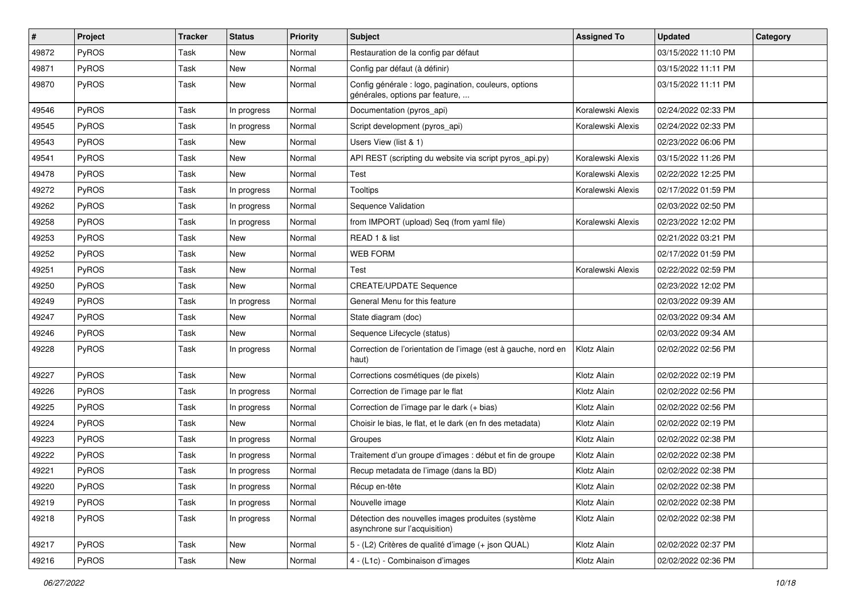| #     | Project      | Tracker | <b>Status</b> | <b>Priority</b> | Subject                                                                                  | <b>Assigned To</b> | <b>Updated</b>      | Category |
|-------|--------------|---------|---------------|-----------------|------------------------------------------------------------------------------------------|--------------------|---------------------|----------|
| 49872 | PyROS        | Task    | <b>New</b>    | Normal          | Restauration de la config par défaut                                                     |                    | 03/15/2022 11:10 PM |          |
| 49871 | PyROS        | Task    | <b>New</b>    | Normal          | Config par défaut (à définir)                                                            |                    | 03/15/2022 11:11 PM |          |
| 49870 | PyROS        | Task    | New           | Normal          | Config générale : logo, pagination, couleurs, options<br>générales, options par feature, |                    | 03/15/2022 11:11 PM |          |
| 49546 | PyROS        | Task    | In progress   | Normal          | Documentation (pyros_api)                                                                | Koralewski Alexis  | 02/24/2022 02:33 PM |          |
| 49545 | PyROS        | Task    | In progress   | Normal          | Script development (pyros api)                                                           | Koralewski Alexis  | 02/24/2022 02:33 PM |          |
| 49543 | PyROS        | Task    | <b>New</b>    | Normal          | Users View (list & 1)                                                                    |                    | 02/23/2022 06:06 PM |          |
| 49541 | PyROS        | Task    | New           | Normal          | API REST (scripting du website via script pyros api.py)                                  | Koralewski Alexis  | 03/15/2022 11:26 PM |          |
| 49478 | PyROS        | Task    | New           | Normal          | Test                                                                                     | Koralewski Alexis  | 02/22/2022 12:25 PM |          |
| 49272 | PyROS        | Task    | In progress   | Normal          | <b>Tooltips</b>                                                                          | Koralewski Alexis  | 02/17/2022 01:59 PM |          |
| 49262 | PyROS        | Task    | In progress   | Normal          | Sequence Validation                                                                      |                    | 02/03/2022 02:50 PM |          |
| 49258 | PyROS        | Task    | In progress   | Normal          | from IMPORT (upload) Seq (from yaml file)                                                | Koralewski Alexis  | 02/23/2022 12:02 PM |          |
| 49253 | PyROS        | Task    | New           | Normal          | READ 1 & list                                                                            |                    | 02/21/2022 03:21 PM |          |
| 49252 | PyROS        | Task    | New           | Normal          | <b>WEB FORM</b>                                                                          |                    | 02/17/2022 01:59 PM |          |
| 49251 | PyROS        | Task    | <b>New</b>    | Normal          | Test                                                                                     | Koralewski Alexis  | 02/22/2022 02:59 PM |          |
| 49250 | PyROS        | Task    | New           | Normal          | <b>CREATE/UPDATE Sequence</b>                                                            |                    | 02/23/2022 12:02 PM |          |
| 49249 | PyROS        | Task    | In progress   | Normal          | General Menu for this feature                                                            |                    | 02/03/2022 09:39 AM |          |
| 49247 | PyROS        | Task    | New           | Normal          | State diagram (doc)                                                                      |                    | 02/03/2022 09:34 AM |          |
| 49246 | PyROS        | Task    | <b>New</b>    | Normal          | Sequence Lifecycle (status)                                                              |                    | 02/03/2022 09:34 AM |          |
| 49228 | PyROS        | Task    | In progress   | Normal          | Correction de l'orientation de l'image (est à gauche, nord en<br>haut)                   | Klotz Alain        | 02/02/2022 02:56 PM |          |
| 49227 | PyROS        | Task    | New           | Normal          | Corrections cosmétiques (de pixels)                                                      | Klotz Alain        | 02/02/2022 02:19 PM |          |
| 49226 | PyROS        | Task    | In progress   | Normal          | Correction de l'image par le flat                                                        | Klotz Alain        | 02/02/2022 02:56 PM |          |
| 49225 | PyROS        | Task    | In progress   | Normal          | Correction de l'image par le dark (+ bias)                                               | Klotz Alain        | 02/02/2022 02:56 PM |          |
| 49224 | PyROS        | Task    | <b>New</b>    | Normal          | Choisir le bias, le flat, et le dark (en fn des metadata)                                | Klotz Alain        | 02/02/2022 02:19 PM |          |
| 49223 | PyROS        | Task    | In progress   | Normal          | Groupes                                                                                  | Klotz Alain        | 02/02/2022 02:38 PM |          |
| 49222 | PyROS        | Task    | In progress   | Normal          | Traitement d'un groupe d'images : début et fin de groupe                                 | Klotz Alain        | 02/02/2022 02:38 PM |          |
| 49221 | PyROS        | Task    | In progress   | Normal          | Recup metadata de l'image (dans la BD)                                                   | Klotz Alain        | 02/02/2022 02:38 PM |          |
| 49220 | <b>PyROS</b> | Task    | In progress   | Normal          | Récup en-tête                                                                            | Klotz Alain        | 02/02/2022 02:38 PM |          |
| 49219 | PyROS        | Task    | In progress   | Normal          | Nouvelle image                                                                           | Klotz Alain        | 02/02/2022 02:38 PM |          |
| 49218 | PyROS        | Task    | In progress   | Normal          | Détection des nouvelles images produites (système<br>asynchrone sur l'acquisition)       | Klotz Alain        | 02/02/2022 02:38 PM |          |
| 49217 | PyROS        | Task    | New           | Normal          | 5 - (L2) Critères de qualité d'image (+ json QUAL)                                       | Klotz Alain        | 02/02/2022 02:37 PM |          |
| 49216 | PyROS        | Task    | New           | Normal          | 4 - (L1c) - Combinaison d'images                                                         | Klotz Alain        | 02/02/2022 02:36 PM |          |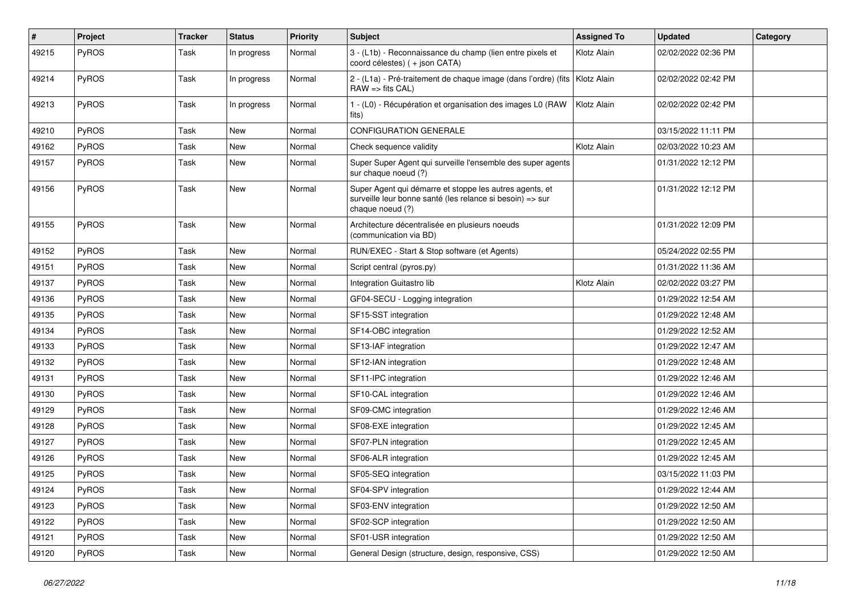| #     | Project      | <b>Tracker</b> | <b>Status</b> | <b>Priority</b> | <b>Subject</b>                                                                                                                           | <b>Assigned To</b> | <b>Updated</b>      | Category |
|-------|--------------|----------------|---------------|-----------------|------------------------------------------------------------------------------------------------------------------------------------------|--------------------|---------------------|----------|
| 49215 | PyROS        | Task           | In progress   | Normal          | 3 - (L1b) - Reconnaissance du champ (lien entre pixels et<br>coord célestes) (+ json CATA)                                               | Klotz Alain        | 02/02/2022 02:36 PM |          |
| 49214 | PyROS        | Task           | In progress   | Normal          | 2 - (L1a) - Pré-traitement de chaque image (dans l'ordre) (fits<br>$RAW \Rightarrow$ fits $CAL$ )                                        | Klotz Alain        | 02/02/2022 02:42 PM |          |
| 49213 | PyROS        | Task           | In progress   | Normal          | 1 - (L0) - Récupération et organisation des images L0 (RAW<br>fits)                                                                      | Klotz Alain        | 02/02/2022 02:42 PM |          |
| 49210 | PyROS        | Task           | New           | Normal          | <b>CONFIGURATION GENERALE</b>                                                                                                            |                    | 03/15/2022 11:11 PM |          |
| 49162 | PyROS        | Task           | New           | Normal          | Check sequence validity                                                                                                                  | Klotz Alain        | 02/03/2022 10:23 AM |          |
| 49157 | PyROS        | Task           | New           | Normal          | Super Super Agent qui surveille l'ensemble des super agents<br>sur chaque noeud (?)                                                      |                    | 01/31/2022 12:12 PM |          |
| 49156 | PyROS        | Task           | New           | Normal          | Super Agent qui démarre et stoppe les autres agents, et<br>surveille leur bonne santé (les relance si besoin) => sur<br>chaque noeud (?) |                    | 01/31/2022 12:12 PM |          |
| 49155 | <b>PyROS</b> | Task           | New           | Normal          | Architecture décentralisée en plusieurs noeuds<br>(communication via BD)                                                                 |                    | 01/31/2022 12:09 PM |          |
| 49152 | PyROS        | Task           | <b>New</b>    | Normal          | RUN/EXEC - Start & Stop software (et Agents)                                                                                             |                    | 05/24/2022 02:55 PM |          |
| 49151 | PyROS        | Task           | New           | Normal          | Script central (pyros.py)                                                                                                                |                    | 01/31/2022 11:36 AM |          |
| 49137 | PyROS        | Task           | New           | Normal          | Integration Guitastro lib                                                                                                                | Klotz Alain        | 02/02/2022 03:27 PM |          |
| 49136 | PyROS        | Task           | New           | Normal          | GF04-SECU - Logging integration                                                                                                          |                    | 01/29/2022 12:54 AM |          |
| 49135 | PyROS        | Task           | New           | Normal          | SF15-SST integration                                                                                                                     |                    | 01/29/2022 12:48 AM |          |
| 49134 | PyROS        | Task           | <b>New</b>    | Normal          | SF14-OBC integration                                                                                                                     |                    | 01/29/2022 12:52 AM |          |
| 49133 | <b>PyROS</b> | Task           | New           | Normal          | SF13-IAF integration                                                                                                                     |                    | 01/29/2022 12:47 AM |          |
| 49132 | PyROS        | Task           | New           | Normal          | SF12-IAN integration                                                                                                                     |                    | 01/29/2022 12:48 AM |          |
| 49131 | PyROS        | Task           | New           | Normal          | SF11-IPC integration                                                                                                                     |                    | 01/29/2022 12:46 AM |          |
| 49130 | PyROS        | Task           | New           | Normal          | SF10-CAL integration                                                                                                                     |                    | 01/29/2022 12:46 AM |          |
| 49129 | <b>PyROS</b> | Task           | New           | Normal          | SF09-CMC integration                                                                                                                     |                    | 01/29/2022 12:46 AM |          |
| 49128 | PyROS        | Task           | New           | Normal          | SF08-EXE integration                                                                                                                     |                    | 01/29/2022 12:45 AM |          |
| 49127 | PyROS        | Task           | New           | Normal          | SF07-PLN integration                                                                                                                     |                    | 01/29/2022 12:45 AM |          |
| 49126 | PyROS        | Task           | New           | Normal          | SF06-ALR integration                                                                                                                     |                    | 01/29/2022 12:45 AM |          |
| 49125 | PyROS        | Task           | New           | Normal          | SF05-SEQ integration                                                                                                                     |                    | 03/15/2022 11:03 PM |          |
| 49124 | PyROS        | Task           | New           | Normal          | SF04-SPV integration                                                                                                                     |                    | 01/29/2022 12:44 AM |          |
| 49123 | PyROS        | Task           | New           | Normal          | SF03-ENV integration                                                                                                                     |                    | 01/29/2022 12:50 AM |          |
| 49122 | PyROS        | Task           | New           | Normal          | SF02-SCP integration                                                                                                                     |                    | 01/29/2022 12:50 AM |          |
| 49121 | PyROS        | Task           | New           | Normal          | SF01-USR integration                                                                                                                     |                    | 01/29/2022 12:50 AM |          |
| 49120 | PyROS        | Task           | New           | Normal          | General Design (structure, design, responsive, CSS)                                                                                      |                    | 01/29/2022 12:50 AM |          |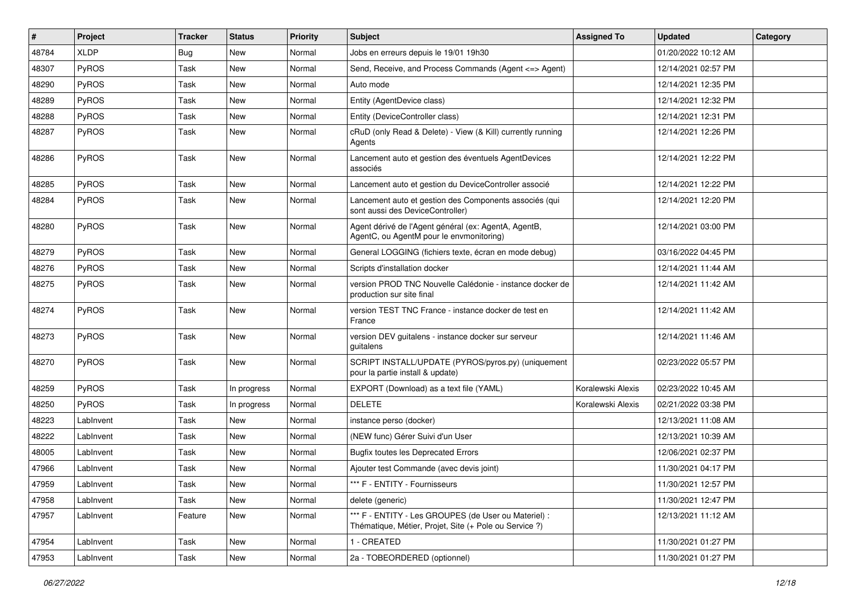| $\sharp$ | Project      | <b>Tracker</b> | <b>Status</b> | <b>Priority</b> | <b>Subject</b>                                                                                                 | <b>Assigned To</b> | <b>Updated</b>      | Category |
|----------|--------------|----------------|---------------|-----------------|----------------------------------------------------------------------------------------------------------------|--------------------|---------------------|----------|
| 48784    | <b>XLDP</b>  | <b>Bug</b>     | New           | Normal          | Jobs en erreurs depuis le 19/01 19h30                                                                          |                    | 01/20/2022 10:12 AM |          |
| 48307    | PyROS        | Task           | <b>New</b>    | Normal          | Send, Receive, and Process Commands (Agent <= > Agent)                                                         |                    | 12/14/2021 02:57 PM |          |
| 48290    | PyROS        | Task           | New           | Normal          | Auto mode                                                                                                      |                    | 12/14/2021 12:35 PM |          |
| 48289    | PyROS        | Task           | <b>New</b>    | Normal          | Entity (AgentDevice class)                                                                                     |                    | 12/14/2021 12:32 PM |          |
| 48288    | PyROS        | Task           | New           | Normal          | Entity (DeviceController class)                                                                                |                    | 12/14/2021 12:31 PM |          |
| 48287    | PyROS        | Task           | New           | Normal          | cRuD (only Read & Delete) - View (& Kill) currently running<br>Agents                                          |                    | 12/14/2021 12:26 PM |          |
| 48286    | PyROS        | Task           | <b>New</b>    | Normal          | Lancement auto et gestion des éventuels AgentDevices<br>associés                                               |                    | 12/14/2021 12:22 PM |          |
| 48285    | PyROS        | Task           | <b>New</b>    | Normal          | Lancement auto et gestion du DeviceController associé                                                          |                    | 12/14/2021 12:22 PM |          |
| 48284    | <b>PyROS</b> | Task           | New           | Normal          | Lancement auto et gestion des Components associés (qui<br>sont aussi des DeviceController)                     |                    | 12/14/2021 12:20 PM |          |
| 48280    | PyROS        | Task           | <b>New</b>    | Normal          | Agent dérivé de l'Agent général (ex: AgentA, AgentB,<br>AgentC, ou AgentM pour le envmonitoring)               |                    | 12/14/2021 03:00 PM |          |
| 48279    | PyROS        | Task           | <b>New</b>    | Normal          | General LOGGING (fichiers texte, écran en mode debug)                                                          |                    | 03/16/2022 04:45 PM |          |
| 48276    | PyROS        | Task           | New           | Normal          | Scripts d'installation docker                                                                                  |                    | 12/14/2021 11:44 AM |          |
| 48275    | PyROS        | Task           | <b>New</b>    | Normal          | version PROD TNC Nouvelle Calédonie - instance docker de<br>production sur site final                          |                    | 12/14/2021 11:42 AM |          |
| 48274    | PyROS        | Task           | <b>New</b>    | Normal          | version TEST TNC France - instance docker de test en<br>France                                                 |                    | 12/14/2021 11:42 AM |          |
| 48273    | PyROS        | Task           | <b>New</b>    | Normal          | version DEV guitalens - instance docker sur serveur<br>quitalens                                               |                    | 12/14/2021 11:46 AM |          |
| 48270    | PyROS        | Task           | New           | Normal          | SCRIPT INSTALL/UPDATE (PYROS/pyros.py) (uniquement<br>pour la partie install & update)                         |                    | 02/23/2022 05:57 PM |          |
| 48259    | <b>PyROS</b> | Task           | In progress   | Normal          | EXPORT (Download) as a text file (YAML)                                                                        | Koralewski Alexis  | 02/23/2022 10:45 AM |          |
| 48250    | PyROS        | Task           | In progress   | Normal          | <b>DELETE</b>                                                                                                  | Koralewski Alexis  | 02/21/2022 03:38 PM |          |
| 48223    | LabInvent    | Task           | New           | Normal          | instance perso (docker)                                                                                        |                    | 12/13/2021 11:08 AM |          |
| 48222    | LabInvent    | Task           | New           | Normal          | (NEW func) Gérer Suivi d'un User                                                                               |                    | 12/13/2021 10:39 AM |          |
| 48005    | LabInvent    | Task           | <b>New</b>    | Normal          | <b>Bugfix toutes les Deprecated Errors</b>                                                                     |                    | 12/06/2021 02:37 PM |          |
| 47966    | LabInvent    | Task           | New           | Normal          | Ajouter test Commande (avec devis joint)                                                                       |                    | 11/30/2021 04:17 PM |          |
| 47959    | LabInvent    | Task           | New           | Normal          | *** F - ENTITY - Fournisseurs                                                                                  |                    | 11/30/2021 12:57 PM |          |
| 47958    | LabInvent    | Task           | New           | Normal          | delete (generic)                                                                                               |                    | 11/30/2021 12:47 PM |          |
| 47957    | LabInvent    | Feature        | New           | Normal          | *** F - ENTITY - Les GROUPES (de User ou Materiel) :<br>Thématique, Métier, Projet, Site (+ Pole ou Service ?) |                    | 12/13/2021 11:12 AM |          |
| 47954    | LabInvent    | Task           | New           | Normal          | 1 - CREATED                                                                                                    |                    | 11/30/2021 01:27 PM |          |
| 47953    | LabInvent    | Task           | New           | Normal          | 2a - TOBEORDERED (optionnel)                                                                                   |                    | 11/30/2021 01:27 PM |          |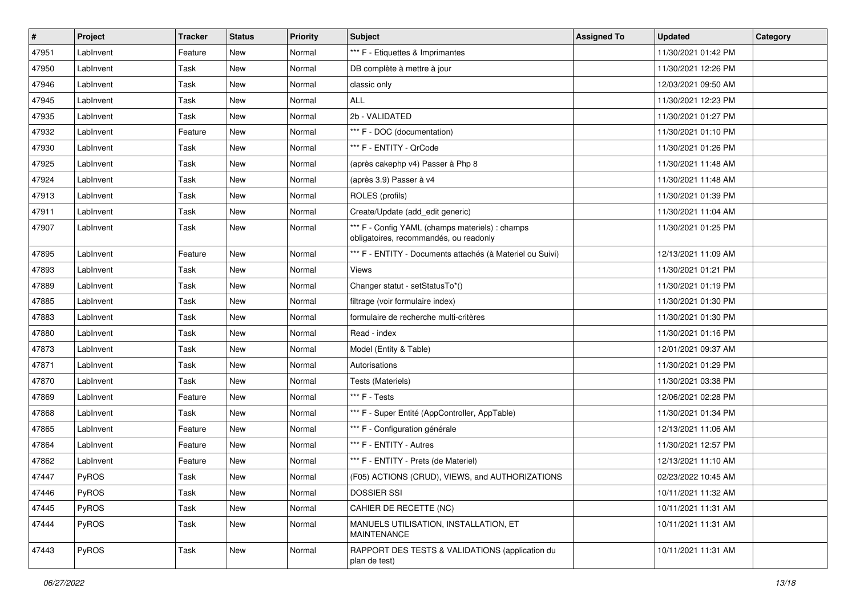| #     | Project   | Tracker | <b>Status</b> | <b>Priority</b> | <b>Subject</b>                                                                            | <b>Assigned To</b> | <b>Updated</b>      | Category |
|-------|-----------|---------|---------------|-----------------|-------------------------------------------------------------------------------------------|--------------------|---------------------|----------|
| 47951 | LabInvent | Feature | New           | Normal          | *** F - Etiquettes & Imprimantes                                                          |                    | 11/30/2021 01:42 PM |          |
| 47950 | LabInvent | Task    | New           | Normal          | DB complète à mettre à jour                                                               |                    | 11/30/2021 12:26 PM |          |
| 47946 | LabInvent | Task    | New           | Normal          | classic only                                                                              |                    | 12/03/2021 09:50 AM |          |
| 47945 | LabInvent | Task    | New           | Normal          | ALL                                                                                       |                    | 11/30/2021 12:23 PM |          |
| 47935 | LabInvent | Task    | New           | Normal          | 2b - VALIDATED                                                                            |                    | 11/30/2021 01:27 PM |          |
| 47932 | LabInvent | Feature | New           | Normal          | *** F - DOC (documentation)                                                               |                    | 11/30/2021 01:10 PM |          |
| 47930 | LabInvent | Task    | New           | Normal          | *** F - ENTITY - QrCode                                                                   |                    | 11/30/2021 01:26 PM |          |
| 47925 | LabInvent | Task    | New           | Normal          | (après cakephp v4) Passer à Php 8                                                         |                    | 11/30/2021 11:48 AM |          |
| 47924 | LabInvent | Task    | New           | Normal          | (après 3.9) Passer à v4                                                                   |                    | 11/30/2021 11:48 AM |          |
| 47913 | LabInvent | Task    | New           | Normal          | ROLES (profils)                                                                           |                    | 11/30/2021 01:39 PM |          |
| 47911 | LabInvent | Task    | New           | Normal          | Create/Update (add edit generic)                                                          |                    | 11/30/2021 11:04 AM |          |
| 47907 | LabInvent | Task    | New           | Normal          | *** F - Config YAML (champs materiels) : champs<br>obligatoires, recommandés, ou readonly |                    | 11/30/2021 01:25 PM |          |
| 47895 | LabInvent | Feature | New           | Normal          | *** F - ENTITY - Documents attachés (à Materiel ou Suivi)                                 |                    | 12/13/2021 11:09 AM |          |
| 47893 | LabInvent | Task    | New           | Normal          | <b>Views</b>                                                                              |                    | 11/30/2021 01:21 PM |          |
| 47889 | LabInvent | Task    | New           | Normal          | Changer statut - setStatusTo*()                                                           |                    | 11/30/2021 01:19 PM |          |
| 47885 | LabInvent | Task    | New           | Normal          | filtrage (voir formulaire index)                                                          |                    | 11/30/2021 01:30 PM |          |
| 47883 | LabInvent | Task    | New           | Normal          | formulaire de recherche multi-critères                                                    |                    | 11/30/2021 01:30 PM |          |
| 47880 | LabInvent | Task    | New           | Normal          | Read - index                                                                              |                    | 11/30/2021 01:16 PM |          |
| 47873 | LabInvent | Task    | New           | Normal          | Model (Entity & Table)                                                                    |                    | 12/01/2021 09:37 AM |          |
| 47871 | LabInvent | Task    | New           | Normal          | Autorisations                                                                             |                    | 11/30/2021 01:29 PM |          |
| 47870 | LabInvent | Task    | New           | Normal          | Tests (Materiels)                                                                         |                    | 11/30/2021 03:38 PM |          |
| 47869 | LabInvent | Feature | New           | Normal          | *** F - Tests                                                                             |                    | 12/06/2021 02:28 PM |          |
| 47868 | LabInvent | Task    | New           | Normal          | *** F - Super Entité (AppController, AppTable)                                            |                    | 11/30/2021 01:34 PM |          |
| 47865 | LabInvent | Feature | New           | Normal          | *** F - Configuration générale                                                            |                    | 12/13/2021 11:06 AM |          |
| 47864 | LabInvent | Feature | New           | Normal          | *** F - ENTITY - Autres                                                                   |                    | 11/30/2021 12:57 PM |          |
| 47862 | LabInvent | Feature | New           | Normal          | *** F - ENTITY - Prets (de Materiel)                                                      |                    | 12/13/2021 11:10 AM |          |
| 47447 | PyROS     | Task    | New           | Normal          | (F05) ACTIONS (CRUD), VIEWS, and AUTHORIZATIONS                                           |                    | 02/23/2022 10:45 AM |          |
| 47446 | PyROS     | Task    | New           | Normal          | <b>DOSSIER SSI</b>                                                                        |                    | 10/11/2021 11:32 AM |          |
| 47445 | PyROS     | Task    | New           | Normal          | CAHIER DE RECETTE (NC)                                                                    |                    | 10/11/2021 11:31 AM |          |
| 47444 | PyROS     | Task    | New           | Normal          | MANUELS UTILISATION. INSTALLATION. ET<br>MAINTENANCE                                      |                    | 10/11/2021 11:31 AM |          |
| 47443 | PyROS     | Task    | New           | Normal          | RAPPORT DES TESTS & VALIDATIONS (application du<br>plan de test)                          |                    | 10/11/2021 11:31 AM |          |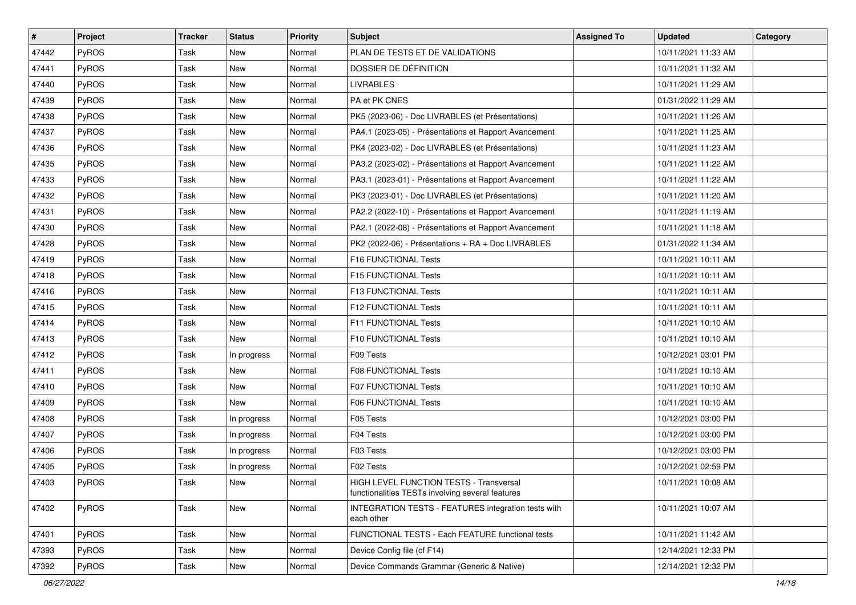| #     | Project      | <b>Tracker</b> | <b>Status</b> | <b>Priority</b> | <b>Subject</b>                                                                              | <b>Assigned To</b> | <b>Updated</b>      | Category |
|-------|--------------|----------------|---------------|-----------------|---------------------------------------------------------------------------------------------|--------------------|---------------------|----------|
| 47442 | PyROS        | Task           | <b>New</b>    | Normal          | PLAN DE TESTS ET DE VALIDATIONS                                                             |                    | 10/11/2021 11:33 AM |          |
| 47441 | PyROS        | Task           | <b>New</b>    | Normal          | DOSSIER DE DÉFINITION                                                                       |                    | 10/11/2021 11:32 AM |          |
| 47440 | <b>PyROS</b> | Task           | New           | Normal          | <b>LIVRABLES</b>                                                                            |                    | 10/11/2021 11:29 AM |          |
| 47439 | PyROS        | Task           | New           | Normal          | PA et PK CNES                                                                               |                    | 01/31/2022 11:29 AM |          |
| 47438 | PyROS        | Task           | <b>New</b>    | Normal          | PK5 (2023-06) - Doc LIVRABLES (et Présentations)                                            |                    | 10/11/2021 11:26 AM |          |
| 47437 | PyROS        | Task           | <b>New</b>    | Normal          | PA4.1 (2023-05) - Présentations et Rapport Avancement                                       |                    | 10/11/2021 11:25 AM |          |
| 47436 | PyROS        | Task           | <b>New</b>    | Normal          | PK4 (2023-02) - Doc LIVRABLES (et Présentations)                                            |                    | 10/11/2021 11:23 AM |          |
| 47435 | <b>PyROS</b> | Task           | New           | Normal          | PA3.2 (2023-02) - Présentations et Rapport Avancement                                       |                    | 10/11/2021 11:22 AM |          |
| 47433 | PyROS        | Task           | New           | Normal          | PA3.1 (2023-01) - Présentations et Rapport Avancement                                       |                    | 10/11/2021 11:22 AM |          |
| 47432 | PyROS        | Task           | <b>New</b>    | Normal          | PK3 (2023-01) - Doc LIVRABLES (et Présentations)                                            |                    | 10/11/2021 11:20 AM |          |
| 47431 | PyROS        | Task           | New           | Normal          | PA2.2 (2022-10) - Présentations et Rapport Avancement                                       |                    | 10/11/2021 11:19 AM |          |
| 47430 | PyROS        | Task           | <b>New</b>    | Normal          | PA2.1 (2022-08) - Présentations et Rapport Avancement                                       |                    | 10/11/2021 11:18 AM |          |
| 47428 | PyROS        | Task           | New           | Normal          | PK2 (2022-06) - Présentations + RA + Doc LIVRABLES                                          |                    | 01/31/2022 11:34 AM |          |
| 47419 | PyROS        | Task           | New           | Normal          | F16 FUNCTIONAL Tests                                                                        |                    | 10/11/2021 10:11 AM |          |
| 47418 | PyROS        | Task           | <b>New</b>    | Normal          | F15 FUNCTIONAL Tests                                                                        |                    | 10/11/2021 10:11 AM |          |
| 47416 | <b>PyROS</b> | Task           | New           | Normal          | F13 FUNCTIONAL Tests                                                                        |                    | 10/11/2021 10:11 AM |          |
| 47415 | PyROS        | Task           | <b>New</b>    | Normal          | F12 FUNCTIONAL Tests                                                                        |                    | 10/11/2021 10:11 AM |          |
| 47414 | PyROS        | Task           | New           | Normal          | F11 FUNCTIONAL Tests                                                                        |                    | 10/11/2021 10:10 AM |          |
| 47413 | PyROS        | Task           | New           | Normal          | F10 FUNCTIONAL Tests                                                                        |                    | 10/11/2021 10:10 AM |          |
| 47412 | PyROS        | Task           | In progress   | Normal          | F09 Tests                                                                                   |                    | 10/12/2021 03:01 PM |          |
| 47411 | PyROS        | Task           | New           | Normal          | <b>F08 FUNCTIONAL Tests</b>                                                                 |                    | 10/11/2021 10:10 AM |          |
| 47410 | PyROS        | Task           | New           | Normal          | F07 FUNCTIONAL Tests                                                                        |                    | 10/11/2021 10:10 AM |          |
| 47409 | PyROS        | Task           | New           | Normal          | F06 FUNCTIONAL Tests                                                                        |                    | 10/11/2021 10:10 AM |          |
| 47408 | PyROS        | Task           | In progress   | Normal          | F05 Tests                                                                                   |                    | 10/12/2021 03:00 PM |          |
| 47407 | PyROS        | Task           | In progress   | Normal          | F04 Tests                                                                                   |                    | 10/12/2021 03:00 PM |          |
| 47406 | PyROS        | Task           | In progress   | Normal          | F03 Tests                                                                                   |                    | 10/12/2021 03:00 PM |          |
| 47405 | PyROS        | Task           | In progress   | Normal          | F02 Tests                                                                                   |                    | 10/12/2021 02:59 PM |          |
| 47403 | PyROS        | Task           | New           | Normal          | HIGH LEVEL FUNCTION TESTS - Transversal<br>functionalities TESTs involving several features |                    | 10/11/2021 10:08 AM |          |
| 47402 | PyROS        | Task           | New           | Normal          | INTEGRATION TESTS - FEATURES integration tests with<br>each other                           |                    | 10/11/2021 10:07 AM |          |
| 47401 | PyROS        | Task           | New           | Normal          | FUNCTIONAL TESTS - Each FEATURE functional tests                                            |                    | 10/11/2021 11:42 AM |          |
| 47393 | PyROS        | Task           | New           | Normal          | Device Config file (cf F14)                                                                 |                    | 12/14/2021 12:33 PM |          |
| 47392 | PyROS        | Task           | New           | Normal          | Device Commands Grammar (Generic & Native)                                                  |                    | 12/14/2021 12:32 PM |          |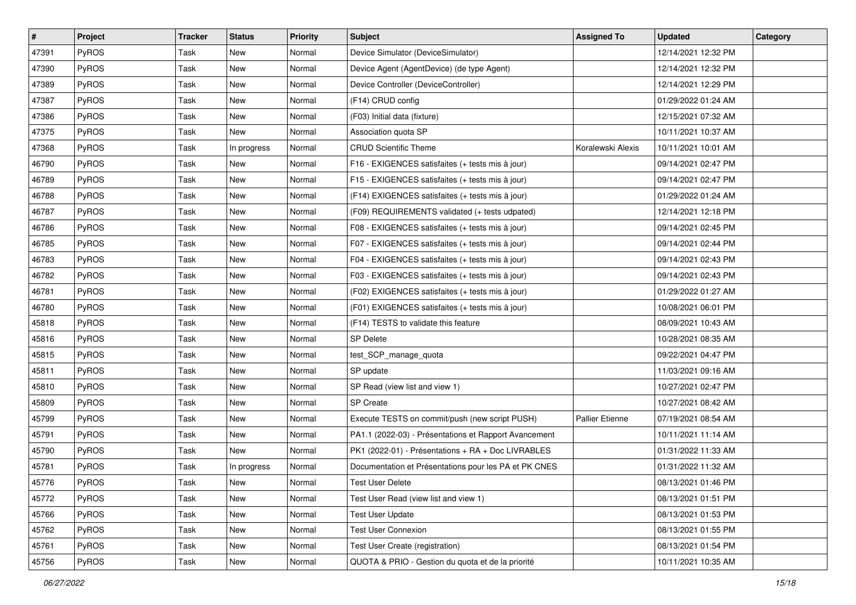| #     | Project      | Tracker | <b>Status</b> | <b>Priority</b> | <b>Subject</b>                                        | <b>Assigned To</b>     | <b>Updated</b>      | Category |
|-------|--------------|---------|---------------|-----------------|-------------------------------------------------------|------------------------|---------------------|----------|
| 47391 | PyROS        | Task    | <b>New</b>    | Normal          | Device Simulator (DeviceSimulator)                    |                        | 12/14/2021 12:32 PM |          |
| 47390 | <b>PyROS</b> | Task    | <b>New</b>    | Normal          | Device Agent (AgentDevice) (de type Agent)            |                        | 12/14/2021 12:32 PM |          |
| 47389 | <b>PyROS</b> | Task    | New           | Normal          | Device Controller (DeviceController)                  |                        | 12/14/2021 12:29 PM |          |
| 47387 | PyROS        | Task    | New           | Normal          | (F14) CRUD config                                     |                        | 01/29/2022 01:24 AM |          |
| 47386 | PyROS        | Task    | New           | Normal          | (F03) Initial data (fixture)                          |                        | 12/15/2021 07:32 AM |          |
| 47375 | PyROS        | Task    | New           | Normal          | Association quota SP                                  |                        | 10/11/2021 10:37 AM |          |
| 47368 | PyROS        | Task    | In progress   | Normal          | <b>CRUD Scientific Theme</b>                          | Koralewski Alexis      | 10/11/2021 10:01 AM |          |
| 46790 | <b>PyROS</b> | Task    | New           | Normal          | F16 - EXIGENCES satisfaites (+ tests mis à jour)      |                        | 09/14/2021 02:47 PM |          |
| 46789 | PyROS        | Task    | New           | Normal          | F15 - EXIGENCES satisfaites (+ tests mis à jour)      |                        | 09/14/2021 02:47 PM |          |
| 46788 | PyROS        | Task    | New           | Normal          | (F14) EXIGENCES satisfaites (+ tests mis à jour)      |                        | 01/29/2022 01:24 AM |          |
| 46787 | PyROS        | Task    | New           | Normal          | (F09) REQUIREMENTS validated (+ tests udpated)        |                        | 12/14/2021 12:18 PM |          |
| 46786 | PyROS        | Task    | New           | Normal          | F08 - EXIGENCES satisfaites (+ tests mis à jour)      |                        | 09/14/2021 02:45 PM |          |
| 46785 | PyROS        | Task    | New           | Normal          | F07 - EXIGENCES satisfaites (+ tests mis à jour)      |                        | 09/14/2021 02:44 PM |          |
| 46783 | PyROS        | Task    | <b>New</b>    | Normal          | F04 - EXIGENCES satisfaites (+ tests mis à jour)      |                        | 09/14/2021 02:43 PM |          |
| 46782 | PyROS        | Task    | <b>New</b>    | Normal          | F03 - EXIGENCES satisfaites (+ tests mis à jour)      |                        | 09/14/2021 02:43 PM |          |
| 46781 | PyROS        | Task    | New           | Normal          | (F02) EXIGENCES satisfaites (+ tests mis à jour)      |                        | 01/29/2022 01:27 AM |          |
| 46780 | PyROS        | Task    | New           | Normal          | (F01) EXIGENCES satisfaites (+ tests mis à jour)      |                        | 10/08/2021 06:01 PM |          |
| 45818 | PyROS        | Task    | New           | Normal          | (F14) TESTS to validate this feature                  |                        | 08/09/2021 10:43 AM |          |
| 45816 | PyROS        | Task    | New           | Normal          | <b>SP Delete</b>                                      |                        | 10/28/2021 08:35 AM |          |
| 45815 | PyROS        | Task    | New           | Normal          | test_SCP_manage_quota                                 |                        | 09/22/2021 04:47 PM |          |
| 45811 | PyROS        | Task    | New           | Normal          | SP update                                             |                        | 11/03/2021 09:16 AM |          |
| 45810 | PyROS        | Task    | New           | Normal          | SP Read (view list and view 1)                        |                        | 10/27/2021 02:47 PM |          |
| 45809 | PyROS        | Task    | <b>New</b>    | Normal          | <b>SP</b> Create                                      |                        | 10/27/2021 08:42 AM |          |
| 45799 | PyROS        | Task    | New           | Normal          | Execute TESTS on commit/push (new script PUSH)        | <b>Pallier Etienne</b> | 07/19/2021 08:54 AM |          |
| 45791 | PyROS        | Task    | New           | Normal          | PA1.1 (2022-03) - Présentations et Rapport Avancement |                        | 10/11/2021 11:14 AM |          |
| 45790 | PyROS        | Task    | New           | Normal          | PK1 (2022-01) - Présentations + RA + Doc LIVRABLES    |                        | 01/31/2022 11:33 AM |          |
| 45781 | PyROS        | Task    | In progress   | Normal          | Documentation et Présentations pour les PA et PK CNES |                        | 01/31/2022 11:32 AM |          |
| 45776 | PyROS        | Task    | New           | Normal          | <b>Test User Delete</b>                               |                        | 08/13/2021 01:46 PM |          |
| 45772 | PyROS        | Task    | New           | Normal          | Test User Read (view list and view 1)                 |                        | 08/13/2021 01:51 PM |          |
| 45766 | PyROS        | Task    | New           | Normal          | <b>Test User Update</b>                               |                        | 08/13/2021 01:53 PM |          |
| 45762 | PyROS        | Task    | New           | Normal          | <b>Test User Connexion</b>                            |                        | 08/13/2021 01:55 PM |          |
| 45761 | PyROS        | Task    | New           | Normal          | Test User Create (registration)                       |                        | 08/13/2021 01:54 PM |          |
| 45756 | PyROS        | Task    | New           | Normal          | QUOTA & PRIO - Gestion du quota et de la priorité     |                        | 10/11/2021 10:35 AM |          |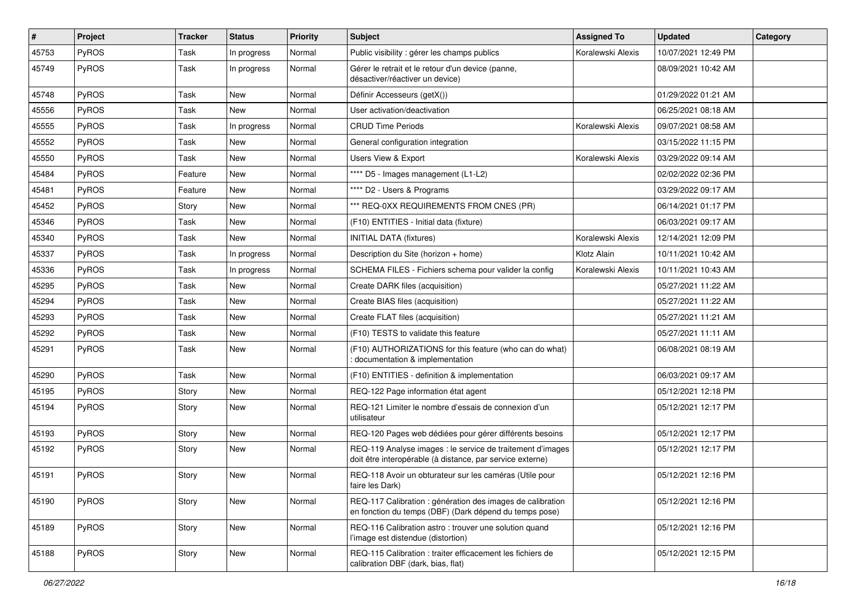| $\vert$ # | Project      | <b>Tracker</b> | <b>Status</b> | <b>Priority</b> | Subject                                                                                                                 | <b>Assigned To</b> | <b>Updated</b>      | Category |
|-----------|--------------|----------------|---------------|-----------------|-------------------------------------------------------------------------------------------------------------------------|--------------------|---------------------|----------|
| 45753     | PyROS        | Task           | In progress   | Normal          | Public visibility : gérer les champs publics                                                                            | Koralewski Alexis  | 10/07/2021 12:49 PM |          |
| 45749     | PyROS        | Task           | In progress   | Normal          | Gérer le retrait et le retour d'un device (panne,<br>désactiver/réactiver un device)                                    |                    | 08/09/2021 10:42 AM |          |
| 45748     | PyROS        | Task           | <b>New</b>    | Normal          | Définir Accesseurs (getX())                                                                                             |                    | 01/29/2022 01:21 AM |          |
| 45556     | PyROS        | Task           | <b>New</b>    | Normal          | User activation/deactivation                                                                                            |                    | 06/25/2021 08:18 AM |          |
| 45555     | <b>PyROS</b> | Task           | In progress   | Normal          | <b>CRUD Time Periods</b>                                                                                                | Koralewski Alexis  | 09/07/2021 08:58 AM |          |
| 45552     | PyROS        | Task           | <b>New</b>    | Normal          | General configuration integration                                                                                       |                    | 03/15/2022 11:15 PM |          |
| 45550     | PyROS        | Task           | New           | Normal          | Users View & Export                                                                                                     | Koralewski Alexis  | 03/29/2022 09:14 AM |          |
| 45484     | PyROS        | Feature        | New           | Normal          | **** D5 - Images management (L1-L2)                                                                                     |                    | 02/02/2022 02:36 PM |          |
| 45481     | PyROS        | Feature        | <b>New</b>    | Normal          | **** D2 - Users & Programs                                                                                              |                    | 03/29/2022 09:17 AM |          |
| 45452     | <b>PyROS</b> | Story          | New           | Normal          | *** REQ-0XX REQUIREMENTS FROM CNES (PR)                                                                                 |                    | 06/14/2021 01:17 PM |          |
| 45346     | PyROS        | Task           | <b>New</b>    | Normal          | (F10) ENTITIES - Initial data (fixture)                                                                                 |                    | 06/03/2021 09:17 AM |          |
| 45340     | PyROS        | Task           | New           | Normal          | <b>INITIAL DATA (fixtures)</b>                                                                                          | Koralewski Alexis  | 12/14/2021 12:09 PM |          |
| 45337     | PyROS        | Task           | In progress   | Normal          | Description du Site (horizon + home)                                                                                    | Klotz Alain        | 10/11/2021 10:42 AM |          |
| 45336     | <b>PyROS</b> | Task           | In progress   | Normal          | SCHEMA FILES - Fichiers schema pour valider la config                                                                   | Koralewski Alexis  | 10/11/2021 10:43 AM |          |
| 45295     | PyROS        | Task           | <b>New</b>    | Normal          | Create DARK files (acquisition)                                                                                         |                    | 05/27/2021 11:22 AM |          |
| 45294     | PyROS        | Task           | New           | Normal          | Create BIAS files (acquisition)                                                                                         |                    | 05/27/2021 11:22 AM |          |
| 45293     | PyROS        | Task           | <b>New</b>    | Normal          | Create FLAT files (acquisition)                                                                                         |                    | 05/27/2021 11:21 AM |          |
| 45292     | PyROS        | Task           | New           | Normal          | (F10) TESTS to validate this feature                                                                                    |                    | 05/27/2021 11:11 AM |          |
| 45291     | PyROS        | Task           | New           | Normal          | (F10) AUTHORIZATIONS for this feature (who can do what)<br>documentation & implementation                               |                    | 06/08/2021 08:19 AM |          |
| 45290     | PyROS        | Task           | <b>New</b>    | Normal          | (F10) ENTITIES - definition & implementation                                                                            |                    | 06/03/2021 09:17 AM |          |
| 45195     | PyROS        | Story          | <b>New</b>    | Normal          | REQ-122 Page information état agent                                                                                     |                    | 05/12/2021 12:18 PM |          |
| 45194     | <b>PyROS</b> | Story          | New           | Normal          | REQ-121 Limiter le nombre d'essais de connexion d'un<br>utilisateur                                                     |                    | 05/12/2021 12:17 PM |          |
| 45193     | PyROS        | Story          | <b>New</b>    | Normal          | REQ-120 Pages web dédiées pour gérer différents besoins                                                                 |                    | 05/12/2021 12:17 PM |          |
| 45192     | PyROS        | Story          | New           | Normal          | REQ-119 Analyse images : le service de traitement d'images<br>doit être interopérable (à distance, par service externe) |                    | 05/12/2021 12:17 PM |          |
| 45191     | PyROS        | Story          | New           | Normal          | REQ-118 Avoir un obturateur sur les caméras (Utile pour<br>taire les Dark)                                              |                    | 05/12/2021 12:16 PM |          |
| 45190     | PyROS        | Story          | New           | Normal          | REQ-117 Calibration : génération des images de calibration<br>en fonction du temps (DBF) (Dark dépend du temps pose)    |                    | 05/12/2021 12:16 PM |          |
| 45189     | PyROS        | Story          | New           | Normal          | REQ-116 Calibration astro: trouver une solution quand<br>l'image est distendue (distortion)                             |                    | 05/12/2021 12:16 PM |          |
| 45188     | PyROS        | Story          | New           | Normal          | REQ-115 Calibration : traiter efficacement les fichiers de<br>calibration DBF (dark, bias, flat)                        |                    | 05/12/2021 12:15 PM |          |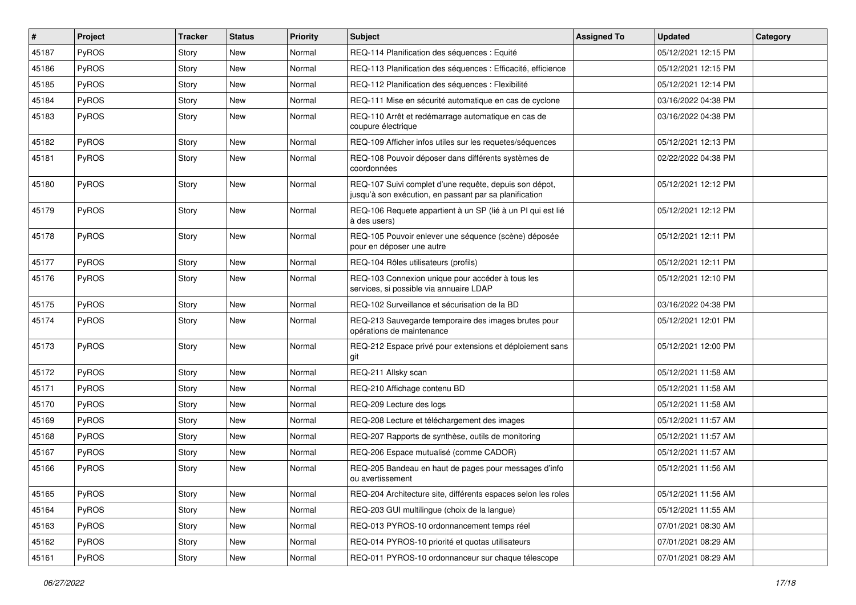| $\vert$ # | Project      | <b>Tracker</b> | <b>Status</b> | <b>Priority</b> | Subject                                                                                                          | <b>Assigned To</b> | <b>Updated</b>      | Category |
|-----------|--------------|----------------|---------------|-----------------|------------------------------------------------------------------------------------------------------------------|--------------------|---------------------|----------|
| 45187     | PyROS        | Story          | <b>New</b>    | Normal          | REQ-114 Planification des séquences : Equité                                                                     |                    | 05/12/2021 12:15 PM |          |
| 45186     | PyROS        | Story          | <b>New</b>    | Normal          | REQ-113 Planification des séquences : Efficacité, efficience                                                     |                    | 05/12/2021 12:15 PM |          |
| 45185     | <b>PyROS</b> | Story          | <b>New</b>    | Normal          | REQ-112 Planification des séquences : Flexibilité                                                                |                    | 05/12/2021 12:14 PM |          |
| 45184     | PyROS        | Story          | New           | Normal          | REQ-111 Mise en sécurité automatique en cas de cyclone                                                           |                    | 03/16/2022 04:38 PM |          |
| 45183     | PyROS        | Story          | <b>New</b>    | Normal          | REQ-110 Arrêt et redémarrage automatique en cas de<br>coupure électrique                                         |                    | 03/16/2022 04:38 PM |          |
| 45182     | PyROS        | Story          | <b>New</b>    | Normal          | REQ-109 Afficher infos utiles sur les requetes/séquences                                                         |                    | 05/12/2021 12:13 PM |          |
| 45181     | PyROS        | Story          | New           | Normal          | REQ-108 Pouvoir déposer dans différents systèmes de<br>coordonnées                                               |                    | 02/22/2022 04:38 PM |          |
| 45180     | PyROS        | Story          | New           | Normal          | REQ-107 Suivi complet d'une requête, depuis son dépot,<br>jusqu'à son exécution, en passant par sa planification |                    | 05/12/2021 12:12 PM |          |
| 45179     | PyROS        | Story          | New           | Normal          | REQ-106 Requete appartient à un SP (lié à un PI qui est lié<br>à des users)                                      |                    | 05/12/2021 12:12 PM |          |
| 45178     | PyROS        | Story          | New           | Normal          | REQ-105 Pouvoir enlever une séquence (scène) déposée<br>pour en déposer une autre                                |                    | 05/12/2021 12:11 PM |          |
| 45177     | PyROS        | Story          | <b>New</b>    | Normal          | REQ-104 Rôles utilisateurs (profils)                                                                             |                    | 05/12/2021 12:11 PM |          |
| 45176     | PyROS        | Story          | New           | Normal          | REQ-103 Connexion unique pour accéder à tous les<br>services, si possible via annuaire LDAP                      |                    | 05/12/2021 12:10 PM |          |
| 45175     | PyROS        | Story          | <b>New</b>    | Normal          | REQ-102 Surveillance et sécurisation de la BD                                                                    |                    | 03/16/2022 04:38 PM |          |
| 45174     | PyROS        | Story          | New           | Normal          | REQ-213 Sauvegarde temporaire des images brutes pour<br>opérations de maintenance                                |                    | 05/12/2021 12:01 PM |          |
| 45173     | PyROS        | Story          | <b>New</b>    | Normal          | REQ-212 Espace privé pour extensions et déploiement sans<br>git                                                  |                    | 05/12/2021 12:00 PM |          |
| 45172     | PyROS        | Story          | <b>New</b>    | Normal          | REQ-211 Allsky scan                                                                                              |                    | 05/12/2021 11:58 AM |          |
| 45171     | <b>PyROS</b> | Story          | New           | Normal          | REQ-210 Affichage contenu BD                                                                                     |                    | 05/12/2021 11:58 AM |          |
| 45170     | PyROS        | Story          | <b>New</b>    | Normal          | REQ-209 Lecture des logs                                                                                         |                    | 05/12/2021 11:58 AM |          |
| 45169     | PyROS        | Story          | New           | Normal          | REQ-208 Lecture et téléchargement des images                                                                     |                    | 05/12/2021 11:57 AM |          |
| 45168     | PyROS        | Story          | <b>New</b>    | Normal          | REQ-207 Rapports de synthèse, outils de monitoring                                                               |                    | 05/12/2021 11:57 AM |          |
| 45167     | PyROS        | Story          | <b>New</b>    | Normal          | REQ-206 Espace mutualisé (comme CADOR)                                                                           |                    | 05/12/2021 11:57 AM |          |
| 45166     | PyROS        | Story          | New           | Normal          | REQ-205 Bandeau en haut de pages pour messages d'info<br>ou avertissement                                        |                    | 05/12/2021 11:56 AM |          |
| 45165     | PyROS        | Story          | New           | Normal          | REQ-204 Architecture site, différents espaces selon les roles                                                    |                    | 05/12/2021 11:56 AM |          |
| 45164     | PyROS        | Story          | New           | Normal          | REQ-203 GUI multilingue (choix de la langue)                                                                     |                    | 05/12/2021 11:55 AM |          |
| 45163     | PyROS        | Story          | New           | Normal          | REQ-013 PYROS-10 ordonnancement temps réel                                                                       |                    | 07/01/2021 08:30 AM |          |
| 45162     | PyROS        | Story          | New           | Normal          | REQ-014 PYROS-10 priorité et quotas utilisateurs                                                                 |                    | 07/01/2021 08:29 AM |          |
| 45161     | PyROS        | Story          | New           | Normal          | REQ-011 PYROS-10 ordonnanceur sur chaque télescope                                                               |                    | 07/01/2021 08:29 AM |          |